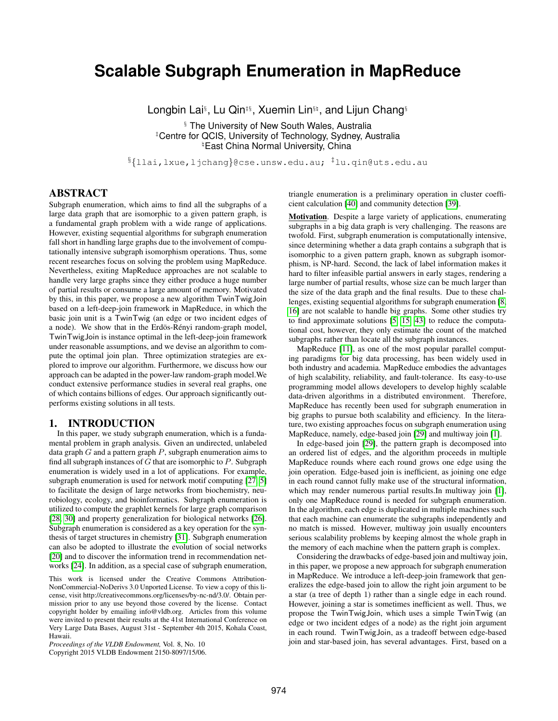# **Scalable Subgraph Enumeration in MapReduce**

Longbin Lai§ , Lu Qin‡§, Xuemin Lin§\ , and Lijun Chang§

§ The University of New South Wales, Australia ‡Centre for QCIS, University of Technology, Sydney, Australia <sup>#</sup>East China Normal University, China

 $\S\{$ llai,lxue,ljchang}@cse.unsw.edu.au;  $^{\ddagger}$ lu.qin@uts.edu.au

# ABSTRACT

Subgraph enumeration, which aims to find all the subgraphs of a large data graph that are isomorphic to a given pattern graph, is a fundamental graph problem with a wide range of applications. However, existing sequential algorithms for subgraph enumeration fall short in handling large graphs due to the involvement of computationally intensive subgraph isomorphism operations. Thus, some recent researches focus on solving the problem using MapReduce. Nevertheless, exiting MapReduce approaches are not scalable to handle very large graphs since they either produce a huge number of partial results or consume a large amount of memory. Motivated by this, in this paper, we propose a new algorithm TwinTwigJoin based on a left-deep-join framework in MapReduce, in which the basic join unit is a TwinTwig (an edge or two incident edges of a node). We show that in the Erdös-Rényi random-graph model, TwinTwigJoin is instance optimal in the left-deep-join framework under reasonable assumptions, and we devise an algorithm to compute the optimal join plan. Three optimization strategies are explored to improve our algorithm. Furthermore, we discuss how our approach can be adapted in the power-law random-graph model.We conduct extensive performance studies in several real graphs, one of which contains billions of edges. Our approach significantly outperforms existing solutions in all tests.

### 1. INTRODUCTION

In this paper, we study subgraph enumeration, which is a fundamental problem in graph analysis. Given an undirected, unlabeled data graph  $G$  and a pattern graph  $P$ , subgraph enumeration aims to find all subgraph instances of  $G$  that are isomorphic to  $P$ . Subgraph enumeration is widely used in a lot of applications. For example, subgraph enumeration is used for network motif computing [\[27,](#page-11-0) [5\]](#page-11-1) to facilitate the design of large networks from biochemistry, neurobiology, ecology, and bioinformatics. Subgraph enumeration is utilized to compute the graphlet kernels for large graph comparison [\[28,](#page-11-2) [30\]](#page-11-3) and property generalization for biological networks [\[26\]](#page-11-4). Subgraph enumeration is considered as a key operation for the synthesis of target structures in chemistry [\[31\]](#page-11-5). Subgraph enumeration can also be adopted to illustrate the evolution of social networks [\[20\]](#page-11-6) and to discover the information trend in recommendation networks [\[24\]](#page-11-7). In addition, as a special case of subgraph enumeration,

This work is licensed under the Creative Commons Attribution-NonCommercial-NoDerivs 3.0 Unported License. To view a copy of this license, visit http://creativecommons.org/licenses/by-nc-nd/3.0/. Obtain permission prior to any use beyond those covered by the license. Contact copyright holder by emailing info@vldb.org. Articles from this volume were invited to present their results at the 41st International Conference on Very Large Data Bases, August 31st - September 4th 2015, Kohala Coast, Hawaii.

*Proceedings of the VLDB Endowment,* Vol. 8, No. 10 Copyright 2015 VLDB Endowment 2150-8097/15/06. triangle enumeration is a preliminary operation in cluster coefficient calculation [\[40\]](#page-11-8) and community detection [\[39\]](#page-11-9).

Motivation. Despite a large variety of applications, enumerating subgraphs in a big data graph is very challenging. The reasons are twofold. First, subgraph enumeration is computationally intensive, since determining whether a data graph contains a subgraph that is isomorphic to a given pattern graph, known as subgraph isomorphism, is NP-hard. Second, the lack of label information makes it hard to filter infeasible partial answers in early stages, rendering a large number of partial results, whose size can be much larger than the size of the data graph and the final results. Due to these challenges, existing sequential algorithms for subgraph enumeration [\[8,](#page-11-10) [16\]](#page-11-11) are not scalable to handle big graphs. Some other studies try to find approximate solutions [\[5,](#page-11-1) [15,](#page-11-12) [43\]](#page-11-13) to reduce the computational cost, however, they only estimate the count of the matched subgraphs rather than locate all the subgraph instances.

MapReduce [\[11\]](#page-11-14), as one of the most popular parallel computing paradigms for big data processing, has been widely used in both industry and academia. MapReduce embodies the advantages of high scalability, reliability, and fault-tolerance. Its easy-to-use programming model allows developers to develop highly scalable data-driven algorithms in a distributed environment. Therefore, MapReduce has recently been used for subgraph enumeration in big graphs to pursue both scalability and efficiency. In the literature, two existing approaches focus on subgraph enumeration using MapReduce, namely, edge-based join [\[29\]](#page-11-15) and multiway join [\[1\]](#page-11-16).

In edge-based join [\[29\]](#page-11-15), the pattern graph is decomposed into an ordered list of edges, and the algorithm proceeds in multiple MapReduce rounds where each round grows one edge using the join operation. Edge-based join is inefficient, as joining one edge in each round cannot fully make use of the structural information, which may render numerous partial results.In multiway join [\[1\]](#page-11-16), only one MapReduce round is needed for subgraph enumeration. In the algorithm, each edge is duplicated in multiple machines such that each machine can enumerate the subgraphs independently and no match is missed. However, multiway join usually encounters serious scalability problems by keeping almost the whole graph in the memory of each machine when the pattern graph is complex.

Considering the drawbacks of edge-based join and multiway join, in this paper, we propose a new approach for subgraph enumeration in MapReduce. We introduce a left-deep-join framework that generalizes the edge-based join to allow the right join argument to be a star (a tree of depth 1) rather than a single edge in each round. However, joining a star is sometimes inefficient as well. Thus, we propose the TwinTwigJoin, which uses a simple TwinTwig (an edge or two incident edges of a node) as the right join argument in each round. TwinTwigJoin, as a tradeoff between edge-based join and star-based join, has several advantages. First, based on a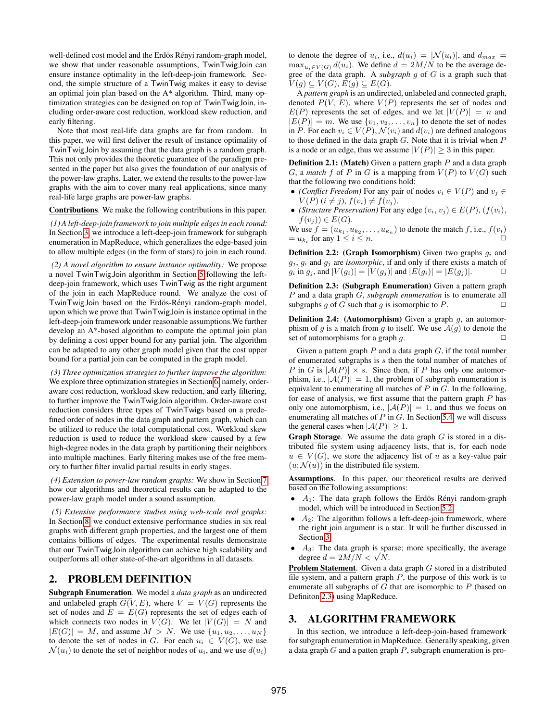well-defined cost model and the Erdös Rényi random-graph model, we show that under reasonable assumptions, TwinTwigJoin can ensure instance optimality in the left-deep-join framework. Second, the simple structure of a TwinTwig makes it easy to devise an optimal join plan based on the A\* algorithm. Third, many optimization strategies can be designed on top of TwinTwigJoin, including order-aware cost reduction, workload skew reduction, and early filtering.

Note that most real-life data graphs are far from random. In this paper, we will first deliver the result of instance optimality of TwinTwigJoin by assuming that the data graph is a random graph. This not only provides the theoretic guarantee of the paradigm presented in the paper but also gives the foundation of our analysis of the power-law graphs. Later, we extend the results to the power-law graphs with the aim to cover many real applications, since many real-life large graphs are power-law graphs.

#### Contributions. We make the following contributions in this paper.

*(1) A left-deep-join framework to join multiple edges in each round:* In Section [3,](#page-1-0) we introduce a left-deep-join framework for subgraph enumeration in MapReduce, which generalizes the edge-based join to allow multiple edges (in the form of stars) to join in each round.

*(2) A novel algorithm to ensure instance optimality:* We propose a novel TwinTwigJoin algorithm in Section [5](#page-3-0) following the leftdeep-join framework, which uses TwinTwig as the right argument of the join in each MapReduce round. We analyze the cost of TwinTwigJoin based on the Erdös-Rényi random-graph model, upon which we prove that TwinTwigJoin is instance optimal in the left-deep-join framework under reasonable assumptions.We further develop an A\*-based algorithm to compute the optimal join plan by defining a cost upper bound for any partial join. The algorithm can be adapted to any other graph model given that the cost upper bound for a partial join can be computed in the graph model.

*(3) Three optimization strategies to further improve the algorithm:* We explore three optimization strategies in Section [6,](#page-6-0) namely, orderaware cost reduction, workload skew reduction, and early filtering, to further improve the TwinTwigJoin algorithm. Order-aware cost reduction considers three types of TwinTwigs based on a predefined order of nodes in the data graph and pattern graph, which can be utilized to reduce the total computational cost. Workload skew reduction is used to reduce the workload skew caused by a few high-degree nodes in the data graph by partitioning their neighbors into multiple machines. Early filtering makes use of the free memory to further filter invalid partial results in early stages.

*(4) Extension to power-law random graphs:* We show in Section [7](#page-7-0) how our algorithms and theoretical results can be adapted to the power-law graph model under a sound assumption.

*(5) Extensive performance studies using web-scale real graphs:* In Section [8,](#page-8-0) we conduct extensive performance studies in six real graphs with different graph properties, and the largest one of them contains billions of edges. The experimental results demonstrate that our TwinTwigJoin algorithm can achieve high scalability and outperforms all other state-of-the-art algorithms in all datasets.

# <span id="page-1-3"></span>2. PROBLEM DEFINITION

Subgraph Enumeration. We model a *data graph* as an undirected and unlabeled graph  $G(V, E)$ , where  $V = V(G)$  represents the set of nodes and  $E = E(G)$  represents the set of edges each of which connects two nodes in  $V(G)$ . We let  $|V(G)| = N$  and  $|E(G)| = M$ , and assume  $M > N$ . We use  $\{u_1, u_2, ..., u_N\}$ to denote the set of nodes in G. For each  $u_i \in V(G)$ , we use  $\mathcal{N}(u_i)$  to denote the set of neighbor nodes of  $u_i$ , and we use  $d(u_i)$ 

to denote the degree of  $u_i$ , i.e.,  $d(u_i) = |\mathcal{N}(u_i)|$ , and  $d_{max} =$  $\max_{u_i \in V(G)} d(u_i)$ . We define  $d = 2M/N$  to be the average degree of the data graph. A *subgraph* g of G is a graph such that  $V(g) \subseteq V(G), E(g) \subseteq E(G).$ 

A *pattern graph* is an undirected, unlabeled and connected graph, denoted  $P(V, E)$ , where  $V(P)$  represents the set of nodes and  $E(P)$  represents the set of edges, and we let  $|V(P)| = n$  and  $|E(P)| = m$ . We use  $\{v_1, v_2, \ldots, v_n\}$  to denote the set of nodes in P. For each  $v_i \in V(P)$ ,  $\mathcal{N}(v_i)$  and  $d(v_i)$  are defined analogous to those defined in the data graph  $G$ . Note that it is trivial when  $P$ is a node or an edge, thus we assume  $|V(P)| \geq 3$  in this paper.

<span id="page-1-2"></span>**Definition 2.1:** (Match) Given a pattern graph  $P$  and a data graph G, a *match* f of P in G is a mapping from  $V(P)$  to  $V(G)$  such that the following two conditions hold:

- *(Conflict Freedom)* For any pair of nodes  $v_i \in V(P)$  and  $v_j \in V(P)$  $V(P)$   $(i \neq j)$ ,  $f(v_i) \neq f(v_j)$ .
- *(Structure Preservation)* For any edge  $(v_i, v_j) \in E(P)$ ,  $(f(v_i)$ ,  $f(v_j)) \in E(G)$ .

We use  $f = (u_{k_1}, u_{k_2}, \dots, u_{k_n})$  to denote the match f, i.e.,  $f(v_i)$  $= u_{k_i}$  for any  $1 \leq i \leq n$ .

**Definition 2.2:** (Graph Isomorphism) Given two graphs  $q_i$  and  $g_i$ ,  $g_i$  and  $g_j$  are *isomorphic*, if and only if there exists a match of  $g_i$  in  $g_j$ , and  $|V(g_i)| = |V(g_j)|$  and  $|E(g_i)| = |E(g_j)|$ .

<span id="page-1-1"></span>Definition 2.3: (Subgraph Enumeration) Given a pattern graph P and a data graph G, *subgraph enumeration* is to enumerate all subgraphs g of G such that g is isomorphic to P.  $\Box$ 

**Definition 2.4:** (Automorphism) Given a graph  $g$ , an automorphism of g is a match from g to itself. We use  $A(g)$  to denote the set of automorphisms for a graph  $g$ .

Given a pattern graph  $P$  and a data graph  $G$ , if the total number of enumerated subgraphs is s then the total number of matches of P in G is  $|A(P)| \times s$ . Since then, if P has only one automorphism, i.e.,  $|\mathcal{A}(P)| = 1$ , the problem of subgraph enumeration is equivalent to enumerating all matches of  $P$  in  $G$ . In the following, for ease of analysis, we first assume that the pattern graph  $P$  has only one automorphism, i.e.,  $|\mathcal{A}(P)| = 1$ , and thus we focus on enumerating all matches of  $P$  in  $G$ . In Section [5.4,](#page-6-1) we will discuss the general cases when  $|\mathcal{A}(P)| \geq 1$ .

**Graph Storage.** We assume the data graph  $G$  is stored in a distributed file system using adjacency lists, that is, for each node  $u \in V(G)$ , we store the adjacency list of u as a key-value pair  $(u; \mathcal{N}(u))$  in the distributed file system.

Assumptions. In this paper, our theoretical results are derived based on the following assumptions:

- $A_1$ : The data graph follows the Erdös Rényi random-graph model, which will be introduced in Section [5.2.](#page-3-1)
- $A_2$ : The algorithm follows a left-deep-join framework, where the right join argument is a star. It will be further discussed in Section [3.](#page-1-0)
- $A_3$ : The data graph is sparse; more specifically, the average  $A_3$ : The data graph is space  $d = 2M/N < \sqrt{N}$ .

Problem Statement. Given a data graph G stored in a distributed file system, and a pattern graph  $P$ , the purpose of this work is to enumerate all subgraphs of  $G$  that are isomorphic to  $P$  (based on Definiton [2.3\)](#page-1-1) using MapReduce.

## <span id="page-1-0"></span>3. ALGORITHM FRAMEWORK

In this section, we introduce a left-deep-join-based framework for subgraph enumeration in MapReduce. Generally speaking, given a data graph  $G$  and a patten graph  $P$ , subgraph enumeration is pro-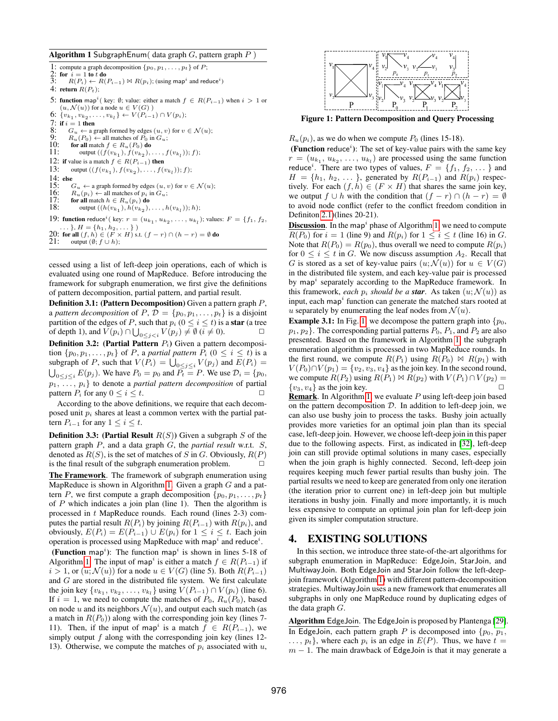<span id="page-2-0"></span>Algorithm 1 SubgraphEnum (data graph  $G$ , pattern graph  $P$ )

1: compute a graph decomposition  $\{p_0, p_1, \ldots, p_t\}$  of  $P$ ; 2: for  $i = 1$  to t do<br>3:  $R(P_i) \leftarrow R(P_i)$ 3: R(P<sub>i</sub>) ← R(P<sub>i-1</sub>)  $\bowtie$  R(p<sub>i</sub>); (using map<sup>i</sup> and reduce<sup>i</sup>) 4: return  $R(P_t)$ ; 5: function map<sup>i</sup> (key: Ø; value: either a match  $f \in R(P_{i-1})$  when  $i > 1$  or  $(u, \mathcal{N}(u))$  for a node  $u \in V(G)$ ) 6:  $\{v_{k_1}, v_{k_2}, \ldots, v_{k_l}\} \leftarrow V(P_{i-1}) \cap V(p_i);$ 7: if  $i = 1$  then<br>8:  $G_u \leftarrow a$  g 8:  $G_u \leftarrow$  a graph formed by edges  $(u, v)$  for  $v \in \mathcal{N}(u)$ ;<br>9:  $B_u(P_0) \leftarrow$  all matches of  $P_0$  in  $G_u$ ; 9:  $R_u(P_0) \leftarrow$  all matches of  $P_0$  in  $G_u$ ;<br>10: for all match  $f \in R_u(P_0)$  do for all match  $f \in R_u(P_0)$  do 11: output  $((f(v_{k_1}), f(v_{k_2}), \ldots, f(v_{k_l})); f);$ 12: if value is a match  $f \in R(P_{i-1})$  then 13: output  $((f(v_{k_1}), f(v_{k_2}), \ldots, f(v_{k_l})); f);$  $14:$  else<br> $15:$ 15:  $G_u \leftarrow$  a graph formed by edges  $(u, v)$  for  $v \in \mathcal{N}(u)$ ;<br>16:  $R_v(v_i) \leftarrow$  all matches of  $v_i$  in  $G_v$ ; 16:  $R_u(p_i) \leftarrow$  all matches of  $p_i$  in  $G_u$ ;<br>17: for all match  $h \in R_u(p_i)$  do 17: **for all** match  $h \in R_u(p_i)$  **do**<br>18: **output**  $((h(v_{k_1}), h(v_{k_2})),$ 18: output  $((h(v_{k_1}), h(v_{k_2}), \ldots, h(v_{k_l})); h);$ 19: **function** reduce<sup>*i*</sup> (key:  $r = (u_{k_1}, u_{k_2}, \ldots, u_{k_l})$ ; values:  $F = \{f_1, f_2, f_3, \ldots, f_l\}$ 20: for all  $(f, h) \in (F \times H)$  s.t.  $(f - r) \cap (h - r) = \emptyset$  do 21: output  $(\emptyset, f \cup h);$ 

cessed using a list of left-deep join operations, each of which is evaluated using one round of MapReduce. Before introducing the framework for subgraph enumeration, we first give the definitions of pattern decomposition, partial pattern, and partial result.

Definition 3.1: (Pattern Decomposition) Given a pattern graph P, a *pattern decomposition* of  $P, \mathcal{D} = \{p_0, p_1, \ldots, p_t\}$  is a disjoint partition of the edges of P, such that  $p_i$  ( $0 \le i \le t$ ) is a **star** (a tree of depth 1), and  $V(p_i) \cap \bigcup_{0 \le j < i} V(p_j) \ne \emptyset$   $(i \ne 0)$ .

<span id="page-2-2"></span>**Definition 3.2:** (Partial Pattern  $P_i$ ) Given a pattern decomposition  $\{p_0, p_1, \ldots, p_t\}$  of P, a *partial pattern*  $P_i$   $(0 \le i \le t)$  is a subgraph of P, such that  $V(P_i) = \bigcup_{0 \le j \le i} V(p_j)$  and  $E(P_i) =$  $\bigcup_{0 \leq j \leq i} E(p_j)$ . We have  $P_0 = p_0$  and  $P_t = P$ . We use  $\mathcal{D}_i = \{p_0, p_1\}$  $p_1, \ldots, p_i$  to denote a *partial pattern decomposition* of partial pattern  $P_i$  for any  $0 \le i \le t$ .

According to the above definitions, we require that each decomposed unit  $p_i$  shares at least a common vertex with the partial pattern  $P_{i-1}$  for any  $1 \leq i \leq t$ .

**Definition 3.3: (Partial Result**  $R(S)$ ) Given a subgraph S of the pattern graph P, and a data graph G, the *partial result* w.r.t. S, denoted as  $R(S)$ , is the set of matches of S in G. Obviously,  $R(P)$ is the final result of the subgraph enumeration problem.  $\Box$ 

The Framework. The framework of subgraph enumeration using MapReduce is shown in Algorithm [1.](#page-2-0) Given a graph  $G$  and a pattern P, we first compute a graph decomposition  $\{p_0, p_1, \ldots, p_t\}$ of  $P$  which indicates a join plan (line 1). Then the algorithm is processed in t MapReduce rounds. Each round (lines 2-3) computes the partial result  $R(P_i)$  by joining  $R(P_{i-1})$  with  $R(p_i)$ , and obviously,  $E(P_i) = E(P_{i-1}) \cup E(p_i)$  for  $1 \leq i \leq t$ . Each join operation is processed using MapReduce with map<sup>i</sup> and reduce<sup>i</sup>.

(Function map<sup>i</sup>): The function map<sup>i</sup> is shown in lines 5-18 of Algorithm [1.](#page-2-0) The input of map<sup>i</sup> is either a match  $f \in R(P_{i-1})$  if  $i > 1$ , or  $(u; \mathcal{N}(u))$  for a node  $u \in V(G)$  (line 5). Both  $R(P_{i-1})$ and G are stored in the distributed file system. We first calculate the join key  $\{v_{k_1}, v_{k_2}, \ldots, v_{k_l}\}$  using  $V(P_{i-1}) \cap V(p_i)$  (line 6). If  $i = 1$ , we need to compute the matches of  $P_0$ ,  $R_u(P_0)$ , based on node u and its neighbors  $\mathcal{N}(u)$ , and output each such match (as a match in  $R(P_0)$ ) along with the corresponding join key (lines 7-11). Then, if the input of map<sup>i</sup> is a match  $f \in R(P_{i-1})$ , we simply output  $f$  along with the corresponding join key (lines 12-13). Otherwise, we compute the matches of  $p_i$  associated with  $u$ ,



<span id="page-2-1"></span>Figure 1: Pattern Decomposition and Query Processing

 $R_u(p_i)$ , as we do when we compute  $P_0$  (lines 15-18).

(Function reduce<sup>*i*</sup>): The set of key-value pairs with the same key  $r = (u_{k_1}, u_{k_2}, \ldots, u_{k_l})$  are processed using the same function reduce<sup>*i*</sup>. There are two types of values,  $F = \{f_1, f_2, \dots\}$  and  $H = \{h_1, h_2, \dots\}$ , generated by  $R(P_{i-1})$  and  $R(p_i)$  respectively. For each  $(f, h) \in (F \times H)$  that shares the same join key, we output  $f \cup h$  with the condition that  $(f - r) \cap (h - r) = \emptyset$ to avoid node conflict (refer to the conflict freedom condition in Definiton [2.1\)](#page-1-2)(lines 20-21).

**Discussion**. In the map<sup> $i$ </sup> phase of Algorithm [1,](#page-2-0) we need to compute  $R(P_0)$  for  $i = 1$  (line 9) and  $R(p_i)$  for  $1 \le i \le t$  (line 16) in G. Note that  $R(P_0) = R(p_0)$ , thus overall we need to compute  $R(p_i)$ for  $0 \leq i \leq t$  in G. We now discuss assumption  $A_2$ . Recall that G is stored as a set of key-value pairs  $(u; \mathcal{N}(u))$  for  $u \in V(G)$ in the distributed file system, and each key-value pair is processed by map<sup>i</sup> separately according to the MapReduce framework. In this framework, *each*  $p_i$  *should be a star*. As taken  $(u; \mathcal{N}(u))$  as input, each map<sup> $i$ </sup> function can generate the matched stars rooted at u separately by enumerating the leaf nodes from  $\mathcal{N}(u)$ .

**Example 3.1:** In Fig. [1,](#page-2-1) we decompose the pattern graph into  $\{p_0,$  $p_1, p_2$ . The corresponding partial patterns  $P_0, P_1$ , and  $P_2$  are also presented. Based on the framework in Algorithm [1,](#page-2-0) the subgraph enumeration algorithm is processed in two MapReduce rounds. In the first round, we compute  $R(P_1)$  using  $R(P_0) \bowtie R(p_1)$  with  $V(P_0) \cap V(p_1) = \{v_2, v_3, v_4\}$  as the join key. In the second round, we compute  $R(P_2)$  using  $R(P_1) \bowtie R(p_2)$  with  $V(P_1) \cap V(p_2) =$  $\{v_3, v_4\}$  as the join key.

**Remark.** In Algorithm [1,](#page-2-0) we evaluate  $P$  using left-deep join based on the pattern decomposition  $D$ . In addition to left-deep join, we can also use bushy join to process the tasks. Bushy join actually provides more varieties for an optimal join plan than its special case, left-deep join. However, we choose left-deep join in this paper due to the following aspects. First, as indicated in [\[32\]](#page-11-17), left-deep join can still provide optimal solutions in many cases, especially when the join graph is highly connected. Second, left-deep join requires keeping much fewer partial results than bushy join. The partial results we need to keep are generated from only one iteration (the iteration prior to current one) in left-deep join but multiple iterations in bushy join. Finally and more importantly, it is much less expensive to compute an optimal join plan for left-deep join given its simpler computation structure.

#### <span id="page-2-3"></span>4. EXISTING SOLUTIONS

In this section, we introduce three state-of-the-art algorithms for subgraph enumeration in MapReduce: EdgeJoin, StarJoin, and MultiwayJoin. Both EdgeJoin and StarJoin follow the left-deepjoin framework (Algorithm [1\)](#page-2-0) with different pattern-decomposition strategies. MultiwayJoin uses a new framework that enumerates all subgraphs in only one MapReduce round by duplicating edges of the data graph G.

Algorithm EdgeJoin. The EdgeJoin is proposed by Plantenga [\[29\]](#page-11-15). In EdgeJoin, each pattern graph P is decomposed into  $\{p_0, p_1,$  $..., p_t$ , where each  $p_i$  is an edge in  $E(P)$ . Thus, we have  $t =$  $m - 1$ . The main drawback of EdgeJoin is that it may generate a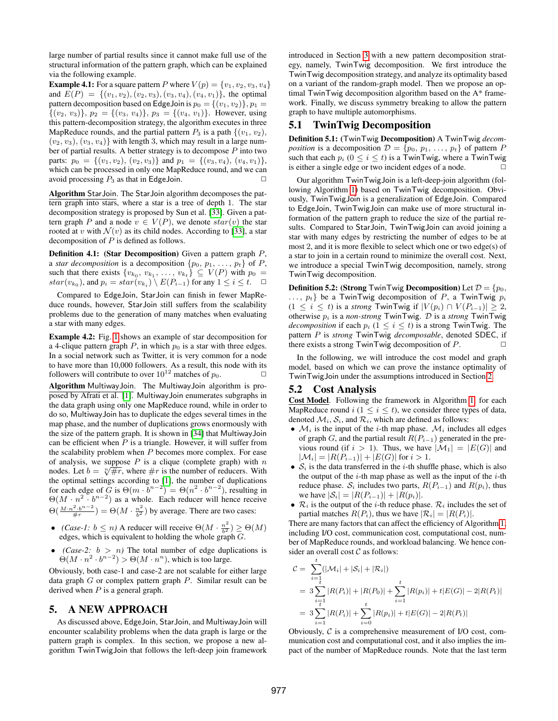large number of partial results since it cannot make full use of the structural information of the pattern graph, which can be explained via the following example.

**Example 4.1:** For a square pattern P where  $V(p) = \{v_1, v_2, v_3, v_4\}$ and  $E(P) = \{(v_1, v_2), (v_2, v_3), (v_3, v_4), (v_4, v_1)\}$ , the optimal pattern decomposition based on EdgeJoin is  $p_0 = \{(v_1, v_2)\}, p_1 =$  $\{(v_2, v_3)\}, p_2 = \{(v_3, v_4)\}, p_3 = \{(v_4, v_1)\}.$  However, using this pattern-decomposition strategy, the algorithm executes in three MapReduce rounds, and the partial pattern  $P_3$  is a path  $\{(v_1, v_2),$  $(v_2, v_3)$ ,  $(v_3, v_4)$  with length 3, which may result in a large number of partial results. A better strategy is to decompose  $P$  into two parts:  $p_0 = \{(v_1, v_2), (v_2, v_3)\}\$ and  $p_1 = \{(v_3, v_4), (v_4, v_1)\}\$ which can be processed in only one MapReduce round, and we can avoid processing  $P_3$  as that in EdgeJoin.  $\Box$ 

Algorithm StarJoin. The StarJoin algorithm decomposes the pattern graph into stars, where a star is a tree of depth 1. The star decomposition strategy is proposed by Sun et al. [\[33\]](#page-11-18). Given a pattern graph P and a node  $v \in V(P)$ , we denote  $star(v)$  the star rooted at v with  $\mathcal{N}(v)$  as its child nodes. According to [\[33\]](#page-11-18), a star decomposition of P is defined as follows.

**Definition 4.1:** (Star Decomposition) Given a pattern graph  $P$ , a *star decomposition* is a decomposition  $\{p_0, p_1, \ldots, p_t\}$  of P, such that there exists  $\{v_{k_0}, v_{k_1}, \ldots, v_{k_t}\} \subseteq V(P)$  with  $p_0 =$  $star(v_{k_0})$ , and  $p_i = star(v_{k_i}) \setminus E(P_{i-1})$  for any  $1 \le i \le t$ .  $\Box$ 

Compared to EdgeJoin, StarJoin can finish in fewer MapReduce rounds, however, StarJoin still suffers from the scalability problems due to the generation of many matches when evaluating a star with many edges.

Example 4.2: Fig. [1](#page-2-1) shows an example of star decomposition for a 4-clique pattern graph  $P$ , in which  $p_0$  is a star with three edges. In a social network such as Twitter, it is very common for a node to have more than 10,000 followers. As a result, this node with its followers will contribute to over  $10^{12}$  matches of  $p_0$ .

Algorithm MultiwayJoin. The MultiwayJoin algorithm is proposed by Afrati et al. [\[1\]](#page-11-16). MultiwayJoin enumerates subgraphs in the data graph using only one MapReduce round, while in order to do so, MultiwayJoin has to duplicate the edges several times in the map phase, and the number of duplications grows enormously with the size of the pattern graph. It is shown in [\[34\]](#page-11-19) that MultiwayJoin can be efficient when  $P$  is a triangle. However, it will suffer from the scalability problem when  $P$  becomes more complex. For ease of analysis, we suppose  $P$  is a clique (complete graph) with  $n$ or analysis, we suppose P is a chique (complete graph) with h nodes. Let  $b = \sqrt[n]{\#r}$ , where  $\#r$  is the number of reducers. With the optimal settings according to [\[1\]](#page-11-16), the number of duplications for each edge of  $\tilde{G}$  is  $\Theta(m \cdot \tilde{b}^{n-2}) = \Theta(n^2 \cdot b^{n-2})$ , resulting in  $\Theta(M \cdot n^2 \cdot b^{n-2})$  as a whole. Each reducer will hence receive  $\Theta\left(\frac{M\cdot n^2\cdot b^{n-2}}{4\pi}\right)$  $(\frac{2 \cdot b^{n-2}}{\#r}) = \Theta(M \cdot \frac{n^2}{b^2})$  $\frac{m^2}{b^2}$ ) by average. There are two cases:

- *(Case-1:*  $b \le n$ ) A reducer will receive  $\Theta(M \cdot \frac{n^2}{h^2})$  $\frac{n^2}{b^2}$ )  $\geq \Theta(M)$ edges, which is equivalent to holding the whole graph G.
- *(Case-2:*  $b > n$ *)* The total number of edge duplications is  $\Theta(M \cdot n^2 \cdot b^{n-2}) > \Theta(M \cdot n^n)$ , which is too large.

Obviously, both case-1 and case-2 are not scalable for either large data graph  $G$  or complex pattern graph  $P$ . Similar result can be derived when  $P$  is a general graph.

# <span id="page-3-0"></span>5. A NEW APPROACH

As discussed above, EdgeJoin, StarJoin, and MultiwayJoin will encounter scalability problems when the data graph is large or the pattern graph is complex. In this section, we propose a new algorithm TwinTwigJoin that follows the left-deep join framework introduced in Section [3](#page-1-0) with a new pattern decomposition strategy, namely, TwinTwig decomposition. We first introduce the TwinTwig decomposition strategy, and analyze its optimality based on a variant of the random-graph model. Then we propose an optimal TwinTwig decomposition algorithm based on the A\* framework. Finally, we discuss symmetry breaking to allow the pattern graph to have multiple automorphisms.

# 5.1 TwinTwig Decomposition

Definition 5.1: (TwinTwig Decomposition) A TwinTwig *decomposition* is a decomposition  $\mathcal{D} = \{p_0, p_1, \ldots, p_t\}$  of pattern P such that each  $p_i$  ( $0 \le i \le t$ ) is a TwinTwig, where a TwinTwig is either a single edge or two incident edges of a node.  $\Box$ 

Our algorithm TwinTwigJoin is a left-deep-join algorithm (following Algorithm [1\)](#page-2-0) based on TwinTwig decomposition. Obviously, TwinTwigJoin is a generalization of EdgeJoin. Compared to EdgeJoin, TwinTwigJoin can make use of more structural information of the pattern graph to reduce the size of the partial results. Compared to StarJoin, TwinTwigJoin can avoid joining a star with many edges by restricting the number of edges to be at most 2, and it is more flexible to select which one or two edge(s) of a star to join in a certain round to minimize the overall cost. Next, we introduce a special TwinTwig decomposition, namely, strong TwinTwig decomposition.

**Definition 5.2:** (Strong TwinTwig Decomposition) Let  $\mathcal{D} = \{p_0,$  $..., p_t$  be a TwinTwig decomposition of P, a TwinTwig  $p_i$  $(1 \leq i \leq t)$  is a *strong* TwinTwig if  $|V(p_i) \cap V(P_{i-1})| \geq 2$ , otherwise p<sup>i</sup> is a *non-strong* TwinTwig. D is a *strong* TwinTwig *decomposition* if each  $p_i$  ( $1 \leq i \leq t$ ) is a strong TwinTwig. The pattern P is *strong* TwinTwig *decomposable*, denoted SDEC, if there exists a strong  $TwinTwig$  decomposition of  $P$ .

In the following, we will introduce the cost model and graph model, based on which we can prove the instance optimality of TwinTwigJoin under the assumptions introduced in Section [2.](#page-1-3)

### <span id="page-3-1"></span>5.2 Cost Analysis

Cost Model. Following the framework in Algorithm [1,](#page-2-0) for each MapReduce round  $i$  ( $1 \leq i \leq t$ ), we consider three types of data, denoted  $\mathcal{M}_i$ ,  $\mathcal{S}_i$ , and  $\mathcal{R}_i$ , which are defined as follows:

- $\mathcal{M}_i$  is the input of the *i*-th map phase.  $\mathcal{M}_i$  includes all edges of graph G, and the partial result  $R(P_{i-1})$  generated in the previous round (if  $i > 1$ ). Thus, we have  $|\mathcal{M}_1| = |E(G)|$  and  $|\mathcal{M}_i| = |R(P_{i-1})| + |E(G)|$  for  $i > 1$ .
- $S_i$  is the data transferred in the *i*-th shuffle phase, which is also the output of the  $i$ -th map phase as well as the input of the  $i$ -th reduce phase.  $S_i$  includes two parts,  $R(P_{i-1})$  and  $R(p_i)$ , thus we have  $|S_i| = |R(P_{i-1})| + |R(p_i)|$ .
- $\mathcal{R}_i$  is the output of the *i*-th reduce phase.  $\mathcal{R}_i$  includes the set of partial matches  $R(P_i)$ , thus we have  $|\mathcal{R}_i| = |R(P_i)|$ .

There are many factors that can affect the efficiency of Algorithm [1,](#page-2-0) including I/O cost, communication cost, computational cost, number of MapReduce rounds, and workload balancing. We hence consider an overall cost  $C$  as follows:

$$
C = \sum_{i=1}^{t} (|\mathcal{M}_i| + |\mathcal{S}_i| + |\mathcal{R}_i|)
$$
  
=  $3 \sum_{i=1}^{t} |R(P_i)| + |R(P_0)| + \sum_{i=1}^{t} |R(p_i)| + t|E(G)| - 2|R(P_t)|$   
=  $3 \sum_{i=1}^{t} |R(P_i)| + \sum_{i=0}^{t} |R(p_i)| + t|E(G)| - 2|R(P_t)|$ 

Obviously,  $C$  is a comprehensive measurement of I/O cost, communication cost and computational cost, and it also implies the impact of the number of MapReduce rounds. Note that the last term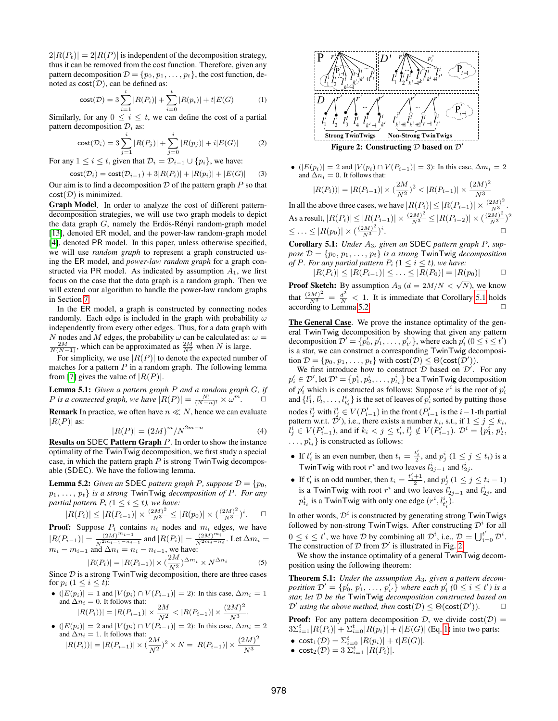$2|R(P_t)| = 2|R(P)|$  is independent of the decomposition strategy, thus it can be removed from the cost function. Therefore, given any pattern decomposition  $\mathcal{D} = \{p_0, p_1, \ldots, p_t\}$ , the cost function, denoted as  $cost(\mathcal{D})$ , can be defined as:

<span id="page-4-3"></span>cost
$$
(D) = 3\sum_{i=1}^{t} |R(P_i)| + \sum_{i=0}^{t} |R(p_i)| + t|E(G)|
$$
 (1)

Similarly, for any  $0 \leq i \leq t$ , we can define the cost of a partial pattern decomposition  $\mathcal{D}_i$  as:

$$
cost(\mathcal{D}_i) = 3 \sum_{j=1}^{i} |R(P_j)| + \sum_{j=0}^{i} |R(p_j)| + i|E(G)|
$$
 (2)

For any  $1 \leq i \leq t$ , given that  $\mathcal{D}_i = \mathcal{D}_{i-1} \cup \{p_i\}$ , we have:

<span id="page-4-7"></span>
$$
cost(\mathcal{D}_i) = cost(\mathcal{D}_{i-1}) + 3|R(P_i)| + |R(p_i)| + |E(G)| \tag{3}
$$

Our aim is to find a decomposition  $D$  of the pattern graph  $P$  so that  $cost(\mathcal{D})$  is minimized.

Graph Model. In order to analyze the cost of different patterndecomposition strategies, we will use two graph models to depict the data graph  $G$ , namely the Erdös-Rényi random-graph model [\[13\]](#page-11-20), denoted ER model, and the power-law random-graph model [\[4\]](#page-11-21), denoted PR model. In this paper, unless otherwise specified, we will use *random graph* to represent a graph constructed using the ER model, and *power-law random graph* for a graph constructed via PR model. As indicated by assumption  $A_1$ , we first focus on the case that the data graph is a random graph. Then we will extend our algorithm to handle the power-law random graphs in Section [7.](#page-7-0)

In the ER model, a graph is constructed by connecting nodes randomly. Each edge is included in the graph with probability  $\omega$ independently from every other edges. Thus, for a data graph with N nodes and M edges, the probability  $\omega$  can be calculated as:  $\omega =$  $\frac{2M}{N(N-1)}$ , which can be approximated as  $\frac{2M}{N^2}$  when N is large.

For simplicity, we use  $|R(P)|$  to denote the expected number of matches for a pattern  $P$  in a random graph. The following lemma from [\[7\]](#page-11-22) gives the value of  $|R(P)|$ .

Lemma 5.1: *Given a pattern graph* P *and a random graph* G*, if P* is a connected graph, we have  $|R(P)| = \frac{N!}{(N-n)!} \times \omega^m$ .  $\Box$ 

**Remark** In practice, we often have  $n \ll N$ , hence we can evaluate  $|R(P)|$  as:

<span id="page-4-4"></span>
$$
|R(P)| = (2M)^m / N^{2m-n}
$$
 (4)

Results on SDEC Pattern Graph P. In order to show the instance optimality of the TwinTwig decomposition, we first study a special case, in which the pattern graph  $P$  is strong TwinTwig decomposable (SDEC). We have the following lemma.

<span id="page-4-1"></span>**Lemma 5.2:** *Given an* SDEC *pattern graph P*, *suppose*  $\mathcal{D} = \{p_0,$  $p_1, \ldots, p_t\}$  *is a strong* TwinTwig *decomposition of P. For any partial pattern*  $P_i$  ( $1 \leq i \leq t$ ), we have:

$$
|R(P_i)| \le |R(P_{i-1})| \times \frac{(2M)^2}{N^3} \le |R(p_0)| \times (\frac{(2M)^2}{N^3})^i. \quad \Box
$$

**Proof:** Suppose  $P_i$  contains  $n_i$  nodes and  $m_i$  edges, we have  $|R(P_{i-1})| = \frac{(2M)^{m_{i-1}}}{N^{2m_{i-1}-n_i}}$  $\frac{(2M)^{m_{i-1}}}{N^{2m_{i-1}-n_{i-1}}}$  and  $|R(P_i)| = \frac{(2M)^{m_i}}{N^{2m_i-n}}$  $\frac{(2M)^{m_i}}{N^{2m_i-n_i}}$ . Let  $\Delta m_i =$  $m_i - m_{i-1}$  and  $\Delta n_i = n_i - n_{i-1}$ , we have:<br> $D(D) = D(D) - \lambda L^{2M} \Delta m_i$ 

<span id="page-4-5"></span>
$$
|R(P_i)| = |R(P_{i-1})| \times (\frac{2M}{N^2})^{\Delta m_i} \times N^{\Delta n_i}
$$
 (5)  
Since *D* is a strong TwinTwig decomposition, there are three cases

for  $p_i$   $(1 \leq i \leq t)$ :

•  $(|E(p_i)| = 1$  and  $|V(p_i) \cap V(P_{i-1})| = 2$ ): In this case,  $\Delta m_i = 1$ and  $\Delta n_i = 0$ . It follows that:<br>  $|R(P_i)| = |R(P_{i-1})| \times \frac{2M}{N^2} < |R(P_{i-1})| \times \frac{(2M)^2}{N^3}$  $\frac{N^{3}}{N^{3}}$ .

$$
\bullet
$$
  $(|E(p_i)|=2$  and  $|V(p_i)\cap V(P_{i-1})|=2$ ): In this case,  $\Delta m_i=2$  and  $\Delta n_i=1$ . It follows that:  $|R(P_i))|=|R(P_{i-1})|\times (\frac{2M}{N^2})^2\times N=|R(P_{i-1})|\times \frac{(2M)^2}{N^3}$ 



•  $(|E(p_i)| = 2$  and  $|V(p_i) \cap V(P_{i-1})| = 3$ ): In this case,  $\Delta m_i = 2$ and  $\Delta n_i = 0$ . It follows that:

<span id="page-4-2"></span>
$$
|R(P_i))| = |R(P_{i-1})| \times \left(\frac{2M}{N^2}\right)^2 < |R(P_{i-1})| \times \frac{(2M)^2}{N^3}
$$

In all the above three cases, we have  $|R(P_i)| \leq |R(P_{i-1})| \times \frac{(2M)^2}{N^3}$ . As a result,  $|R(P_i)| \leq |R(P_{i-1})| \times \frac{(2M)^2}{N^3} \leq |R(P_{i-2})| \times (\frac{(2M)^2}{N^3})^2$  $\leq \ldots \leq |R(p_0)| \times (\frac{(2M)^2}{N^3})^i.$ 

<span id="page-4-0"></span>Corollary 5.1: *Under* A3*, given an* SDEC *pattern graph* P*, suppose*  $\mathcal{D} = \{p_0, p_1, \ldots, p_t\}$  *is a strong* TwinTwig *decomposition of* P. For any partial pattern  $P_i$  ( $1 \leq i \leq t$ ), we have:

$$
|R(P_i)| \le |R(P_{i-1})| \le \ldots \le |R(P_0)| = |R(p_0)| \qquad \Box
$$

**Proof Sketch:** By assumption  $A_3$  ( $d = 2M/N < \sqrt{N}$ ), we know that  $\frac{(2M)^2}{N^3} = \frac{d^2}{N} < 1$ . It is immediate that Corollary [5.1](#page-4-0) holds  $\Box$  according to Lemma [5.2.](#page-4-1)

The General Case. We prove the instance optimality of the general TwinTwig decomposition by showing that given any pattern decomposition  $\mathcal{D}' = \{p'_0, p'_1, \ldots, p'_{t'}\}$ , where each  $p'_i$   $(0 \le i \le t')$ is a star, we can construct a corresponding TwinTwig decomposition  $\mathcal{D} = \{p_0, p_1, \dots, p_t\}$  with  $cost(\mathcal{D}) \leq \Theta(cost(\mathcal{D}')).$ 

We first introduce how to construct  $D$  based on  $D'$ . For any  $p'_i \in \mathcal{D}'$ , let  $\mathcal{D}^i = \{p_1^i, p_2^i, \ldots, p_{t_i}^i\}$  be a TwinTwig decomposition of  $p'_i$  which is constructed as follows: Suppose  $r^i$  is the root of  $p'_i$ and  $\{l_1^i, l_2^i, \ldots, l_{t'_i}^i\}$  is the set of leaves of  $p_i^{\overline{j}}$  sorted by putting those nodes  $l_j^i$  with  $l_j^i \in V(P'_{i-1})$  in the front ( $P'_{i-1}$  is the  $i-1$ -th partial pattern w.r.t.  $\mathcal{D}'$ ), i.e., there exists a number  $k_i$ , s.t., if  $1 \leq j \leq k_i$ ,  $\tilde{l}^i_j \in V(P'_{i-1}),$  and if  $k_i < j \leq t'_i$ ,  $l^i_j \notin V(P'_{i-1}).$   $\mathcal{D}^i = \{p^i_1, p^i_2, \}$  $\ldots, p_{t_i}^i\}$  is constructed as follows:

- If  $t'_i$  is an even number, then  $t_i = \frac{t'_i}{2}$ , and  $p_j^i$   $(1 \le j \le t_i)$  is a TwinTwig with root  $r^i$  and two leaves  $l_{2j-1}^i$  and  $l_{2j}^i$ .
- If  $t'_i$  is an odd number, then  $t_i = \frac{t'_i+1}{2}$ , and  $p_j^i$   $(1 \le j \le t_i 1)$ is a TwinTwig with root  $r^i$  and two leaves  $l_{2j-1}^i$  and  $l_{2j}^i$ , and  $p_{t_i}^i$  is a TwinTwig with only one edge  $(r^i, l^i_{t'_i})$ .

In other words,  $\mathcal{D}^i$  is constructed by generating strong TwinTwigs followed by non-strong TwinTwigs. After constructing  $\mathcal{D}^i$  for all  $0 \le i \le t'$ , we have  $\mathcal{D}$  by combining all  $\mathcal{D}^i$ , i.e.,  $\mathcal{D} = \bigcup_{i=0}^{t'} \mathcal{D}^i$ . The construction of  $D$  from  $D'$  is illustrated in Fig. [2.](#page-4-2)

We show the instance optimality of a general TwinTwig decomposition using the following theorem:

<span id="page-4-6"></span>Theorem 5.1: *Under the assumption* A3*, given a pattern decom*position  $\mathcal{D}' = \{p'_0, p'_1, \ldots, p'_{t'}\}$  where each  $p'_i$  ( $0 \le i \le t'$ ) is a *star, let* D *be the* TwinTwig *decomposition constructed based on*  $\mathcal{D}'$  using the above method, then  $cost(\mathcal{D}) \leq \Theta(cost(\mathcal{D}'))$ .  $\Box$ 

**Proof:** For any pattern decomposition D, we divide  $cost(D)$  =  $3\Sigma_{i=1}^{t} |R(P_i)| + \Sigma_{i=0}^{t} |R(p_i)| + t|E(G)|$  (Eq. [1\)](#page-4-3) into two parts:

- $\cosh_1(D) = \sum_{i=0}^{t} |R(p_i)| + t|E(G)|.$
- $\textsf{cost}_2(\mathcal{D}) = 3 \sum_{i=1}^t |R(P_i)|.$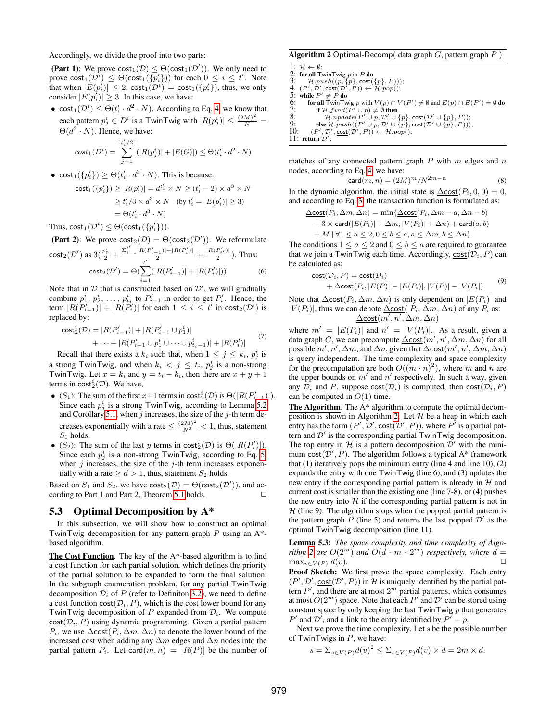Accordingly, we divide the proof into two parts:

(Part 1): We prove  $cost_1(\mathcal{D}) \leq \Theta(cost_1(\mathcal{D}'))$ . We only need to prove  $\textsf{cost}_1(\mathcal{D}^i) \leq \Theta(\textsf{cost}_1(\{p'_i\}))$  for each  $0 \leq i \leq t'$ . Note that when  $|E(p'_i)| \leq 2$ ,  $\text{cost}_1(\mathcal{D}^i) = \text{cost}_1(\{p'_i\})$ , thus, we only consider  $|E(p_i)| \geq 3$ . In this case, we have:

• cost<sub>1</sub> $(\mathcal{D}^i) \leq \Theta(t'_i \cdot d^2 \cdot N)$ . According to Eq. [4,](#page-4-4) we know that each pattern  $p_j^i \in D^i$  is a TwinTwig with  $|R(p_j^i)| \leq \frac{(2M)^2}{N}$  $\Theta(d^2 \cdot N)$ . Hence, we have:

$$
cost_1(D^i) = \sum_{j=1}^{\lceil t'_i/2 \rceil} (|R(p_j^i)| + |E(G)|) \le \Theta(t'_i \cdot d^2 \cdot N)
$$

• cost<sub>1</sub> $(\{p'_i\}) \geq \Theta(t'_i \cdot d^3 \cdot N)$ . This is because:

$$
\begin{aligned}\n\text{cost}_1(\{p'_i\}) &\ge |R(p'_i)| = d^{t'_i} \times N \ge (t'_i - 2) \times d^3 \times N \\
&\ge t'_i/3 \times d^3 \times N \quad \text{(by } t'_i = |E(p'_i)| \ge 3) \\
&= \Theta(t'_i \cdot d^3 \cdot N)\n\end{aligned}
$$

Thus,  $\mathsf{cost}_1(\mathcal{D}^i) \leq \Theta(\mathsf{cost}_1(\{p'_i\})).$ 

(Part 2): We prove  $\text{cost}_2(\mathcal{D}) = \Theta(\text{cost}_2(\mathcal{D}'))$ . We reformulate  $cost<sub>2</sub>$  $\overline{a}$ 

<span id="page-5-2"></span>
$$
e(2') \text{ as } 3\left(\frac{p_0'}{2} + \frac{\sum_{i=1}^{t'} |R(P_{i-1}')| + |R(P_i')|}{2} + \frac{|R(P_{i}')|}{2}\right). \text{ Thus:}
$$

$$
\text{cost}_2(\mathcal{D}') = \Theta\left(\sum_{i} (|R(P_{i-1}')| + |R(P_i')|)\right) \tag{6}
$$

 $i=1$ Note that in  $D$  that is constructed based on  $D'$ , we will gradually combine  $p_1^i, p_2^i, \ldots, p_{t_i}^i$  to  $P'_{i-1}$  in order to get  $P'_i$ . Hence, the term  $|R(P'_{i-1})| + |R(P'_{i})|$  for each  $1 \leq i \leq t'$  in  $cost_2(\mathcal{D}')$  is replaced by:

<span id="page-5-3"></span>
$$
\begin{aligned} \text{cost}_2^i(\mathcal{D}) &= |R(P_{i-1}')| + |R(P_{i-1}' \cup p_1^i)| \\ &+ \dots + |R(P_{i-1}' \cup p_1^i \cup \dots \cup p_{t_i-1}^i)| + |R(P_i')| \end{aligned} \tag{7}
$$

Recall that there exists a  $k_i$  such that, when  $1 \leq j \leq k_i$ ,  $p_j^i$  is a strong TwinTwig, and when  $k_i < j \leq t_i$ ,  $p_j^i$  is a non-strong TwinTwig. Let  $x = k_i$  and  $y = t_i - k_i$ , then there are  $x + y + 1$ terms in  $\text{cost}_2^i(\mathcal{D})$ . We have,

- (S<sub>1</sub>): The sum of the first  $x+1$  terms in cost<sup>i</sup><sub>2</sub>(D) is  $\Theta(|R(P'_{i-1})|)$ . Since each  $p_j^i$  is a strong TwinTwig, according to Lemma [5.2](#page-4-1) and Corollary [5.1,](#page-4-0) when  $j$  increases, the size of the  $j$ -th term decreases exponentially with a rate  $\leq \frac{(2M)^2}{N^3} < 1$ , thus, statement  $S_1$  holds.
- (S<sub>2</sub>): The sum of the last y terms in cost<sup>i</sup><sub>2</sub>(D) is  $\Theta(|R(P'_{i})|)$ . Since each  $p_j^i$  is a non-strong TwinTwig, according to Eq. [5,](#page-4-5) when  $j$  increases, the size of the  $j$ -th term increases exponentially with a rate  $\geq d > 1$ , thus, statement  $S_2$  holds.

Based on  $S_1$  and  $S_2$ , we have  $\text{cost}_2(\mathcal{D}) = \Theta(\text{cost}_2(\mathcal{D}'))$ , and ac-cording to Part 1 and Part 2, Theorem [5.1](#page-4-6) holds.  $\square$ 

#### 5.3 Optimal Decomposition by A\*

In this subsection, we will show how to construct an optimal TwinTwig decomposition for any pattern graph  $P$  using an  $A^*$ based algorithm.

The Cost Function. The key of the A\*-based algorithm is to find a cost function for each partial solution, which defines the priority of the partial solution to be expanded to form the final solution. In the subgraph enumeration problem, for any partial TwinTwig decomposition  $\mathcal{D}_i$  of P (refer to Definiton [3.2\)](#page-2-2), we need to define a cost function  $cost(\mathcal{D}_i, P)$ , which is the cost lower bound for any TwinTwig decomposition of P expanded from  $\mathcal{D}_i$ . We compute  $cost(\mathcal{D}_i, P)$  using dynamic programming. Given a partial pattern  $P_i$ , we use  $\Delta \text{cost}(P_i, \Delta m, \Delta n)$  to denote the lower bound of the increased cost when adding any  $\Delta m$  edges and  $\Delta n$  nodes into the partial pattern  $P_i$ . Let card $(m, n) = |R(P)|$  be the number of

#### <span id="page-5-0"></span>**Algorithm 2** Optimal-Decomp( data graph  $G$ , pattern graph  $P$ )

1:  $\mathcal{H} \leftarrow \emptyset$ ; 2: for all TwinTwig p in P do<br>3:  $\mathcal{H}.push((p, \{p\}, \text{cost}))$ 3:  $\mathcal{H}.push((p, \{p\}, \underline{\text{cost}}(\{p\}, P)))$ ;<br>4:  $(P', \mathcal{D}', \underline{\text{cost}}(\mathcal{D}', P)) \leftarrow \mathcal{H}.pop();$ <br>5: while  $P' \neq P$  do 6: for all TwinTwig p with  $V(p) \cap V(P') \neq \emptyset$  and  $E(p) \cap E(P') = \emptyset$  do 7: **if**  $H.find(\overline{P}')$ <br>8: *H* undate  $\hat{y}^{\prime} \cup p$   $\neq \emptyset$  then 8:  $\mathcal{H}.update(P^{\prime} \cup p, \mathcal{D}' \cup \{p\}, \underline{\text{cost}}(\mathcal{D}' \cup \{p\}, P));$ 9: else  $\mathcal{H}.push((P' \cup p, \mathcal{D}' \cup \{p\}, \overline{\text{cost}}(\mathcal{D}' \cup \{p\}, P))))$ ; 10:  $(P', \mathcal{D}', \underline{\text{cost}}(\mathcal{D}', P)) \leftarrow \mathcal{H}.pop();$ 11: return  $\mathcal{D}'$ ;

matches of any connected pattern graph  $P$  with  $m$  edges and  $n$ nodes, according to Eq. [4,](#page-4-4) we have:

$$
\operatorname{card}(m, n) = (2M)^m / N^{2m - n} \tag{8}
$$

In the dynamic algorithm, the initial state is  $\Delta \text{cost}(P_i, 0, 0) = 0$ , and according to Eq. [3,](#page-4-7) the transaction function is formulated as:

$$
\frac{\Delta \text{cost}(P_i, \Delta m, \Delta n) = \min\{\Delta \text{cost}(P_i, \Delta m - a, \Delta n - b) + 3 \times \text{card}(|E(P_i)| + \Delta m, |V(P_i)| + \Delta n) + \text{card}(a, b) + M | \forall 1 \le a \le 2, 0 \le b \le a, a \le \Delta m, b \le \Delta n\}
$$

The conditions  $1 \le a \le 2$  and  $0 \le b \le a$  are required to guarantee that we join a TwinTwig each time. Accordingly,  $cost(D_i, P)$  can be calculated as:

$$
\underline{\text{cost}}(\mathcal{D}_i, P) = \text{cost}(\mathcal{D}_i)
$$
  
+ 
$$
\underline{\Delta \text{cost}}(P_i, |E(P)| - |E(P_i)|, |V(P)| - |V(P_i|)
$$
 (9)

<span id="page-5-1"></span>Note that  $\Delta \text{cost}(P_i, \Delta m, \Delta n)$  is only dependent on  $|E(P_i)|$  and  $|V(P_i)|$ , thus we can denote  $\Delta \text{cost}(P_i, \Delta m, \Delta n)$  of any  $P_i$  as:  $\Delta \textsf{cost}(m', n', \Delta m, \Delta n)$ 

where  $m' = |E(P_i)|$  and  $n' = |V(P_i)|$ . As a result, given a data graph G, we can precompute  $\Delta \textsf{cost}(m', n', \Delta m, \Delta n)$  for all possible  $m', n', \Delta m$ , and  $\Delta n$ , given that  $\Delta \textsf{cost}(m', n', \Delta m, \Delta n)$ is query independent. The time complexity and space complexity for the precomputation are both  $O((\overline{m} \cdot \overline{n})^2)$ , where  $\overline{m}$  and  $\overline{n}$  are the upper bounds on  $m'$  and  $n'$  respectively. In such a way, given any  $\mathcal{D}_i$  and P, suppose cost( $\mathcal{D}_i$ ) is computed, then cost( $\mathcal{D}_i$ , P) can be computed in  $O(1)$  time.

The Algorithm. The A\* algorithm to compute the optimal decom-position is shown in Algorithm [2.](#page-5-0) Let  $H$  be a heap in which each entry has the form  $(P', \mathcal{D}', \text{cost}(\mathcal{D}', P))$ , where  $P'$  is a partial pattern and  $\mathcal{D}'$  is the corresponding partial TwinTwig decomposition. The top entry in H is a pattern decomposition  $\mathcal{D}'$  with the minimum  $cost(D', P)$ . The algorithm follows a typical A\* framework that (1) iteratively pops the minimum entry (line 4 and line 10), (2) expands the entry with one TwinTwig (line 6), and (3) updates the new entry if the corresponding partial pattern is already in  $H$  and current cost is smaller than the existing one (line 7-8), or (4) pushes the new entry into  $H$  if the corresponding partial pattern is not in  $H$  (line 9). The algorithm stops when the popped partial pattern is the pattern graph  $\overline{P}$  (line 5) and returns the last popped  $\overline{D}'$  as the optimal TwinTwig decomposition (line 11).

<span id="page-5-4"></span>Lemma 5.3: *The space complexity and time complexity of Algorithm* [2](#page-5-0) are  $O(2^m)$  and  $O(\overline{d} \cdot m \cdot 2^m)$  *respectively, where*  $\overline{d} =$  $\max_{v \in V(P)} d(v)$ .

Proof Sketch: We first prove the space complexity. Each entry  $(P', \mathcal{D}', \text{cost}(\mathcal{D}', P))$  in  $\mathcal{H}$  is uniquely identified by the partial pattern  $P'$ , and there are at most  $2^m$  partial patterns, which consumes at most  $O(2^m)$  space. Note that each  $P'$  and  $\mathcal{D}'$  can be stored using constant space by only keeping the last  $\overline{T}$  win $\overline{T}$  wig p that generates  $P'$  and  $D'$ , and a link to the entry identified by  $P' - p$ .

Next we prove the time complexity. Let  $s$  be the possible number of TwinTwigs in  $P$ , we have:

$$
s = \sum_{v \in V(P)} d(v)^2 \le \sum_{v \in V(P)} d(v) \times \overline{d} = 2m \times \overline{d}.
$$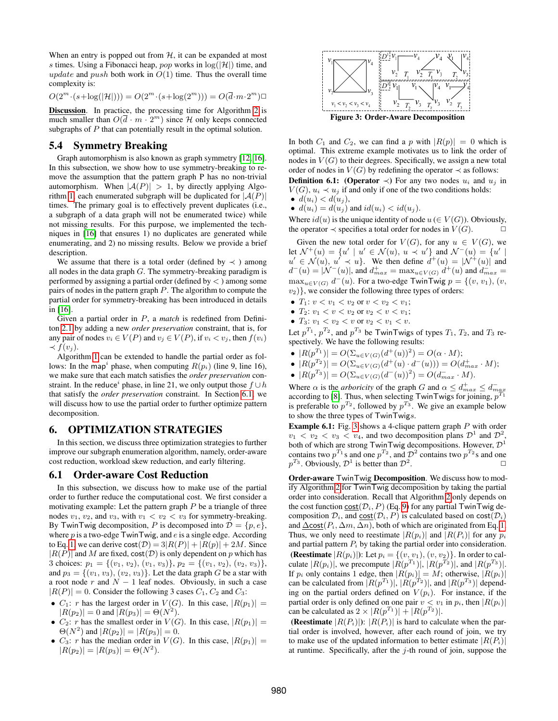When an entry is popped out from  $H$ , it can be expanded at most s times. Using a Fibonacci heap, pop works in  $log(|\mathcal{H}|)$  time, and update and push both work in  $O(1)$  time. Thus the overall time complexity is:

 $O(2^m \cdot (s + \log(|\mathcal{H}|))) = O(2^m \cdot (s + \log(2^m))) = O(\overline{d} \cdot m \cdot 2^m)$ 

Discussion. In practice, the processing time for Algorithm [2](#page-5-0) is much smaller than  $O(\overline{d} \cdot m \cdot 2^m)$  since H only keeps connected subgraphs of P that can potentially result in the optimal solution.

# <span id="page-6-1"></span>5.4 Symmetry Breaking

Graph automorphism is also known as graph symmetry [\[12,](#page-11-23) [16\]](#page-11-11). In this subsection, we show how to use symmetry-breaking to remove the assumption that the pattern graph P has no non-trivial automorphism. When  $|A(P)| > 1$ , by directly applying Algo-rithm [1,](#page-2-0) each enumerated subgraph will be duplicated for  $|A(P)|$ times. The primary goal is to effectively prevent duplicates (i.e., a subgraph of a data graph will not be enumerated twice) while not missing results. For this purpose, we implemented the techniques in [\[16\]](#page-11-11) that ensures 1) no duplicates are generated while enumerating, and 2) no missing results. Below we provide a brief description.

We assume that there is a total order (defined by  $\prec$ ) among all nodes in the data graph  $G$ . The symmetry-breaking paradigm is performed by assigning a partial order (defined by  $\lt$ ) among some pairs of nodes in the pattern graph P. The algorithm to compute the partial order for symmetry-breaking has been introduced in details in [\[16\]](#page-11-11).

Given a partial order in P, a *match* is redefined from Definiton [2.1](#page-1-2) by adding a new *order preservation* constraint, that is, for any pair of nodes  $v_i \in V(P)$  and  $v_j \in V(P)$ , if  $v_i < v_j$ , then  $f(v_i)$  $\prec$   $f(v_i)$ .

Algorithm [1](#page-2-0) can be extended to handle the partial order as follows: In the map<sup>i</sup> phase, when computing  $R(p_i)$  (line 9, line 16), we make sure that each match satisfies the *order preservation* constraint. In the reduce<sup>*i*</sup> phase, in line 21, we only output those  $f \cup h$ that satisfy the *order preservation* constraint. In Section [6.1,](#page-6-2) we will discuss how to use the partial order to further optimize pattern decomposition.

#### <span id="page-6-0"></span>6. OPTIMIZATION STRATEGIES

In this section, we discuss three optimization strategies to further improve our subgraph enumeration algorithm, namely, order-aware cost reduction, workload skew reduction, and early filtering.

#### <span id="page-6-2"></span>6.1 Order-aware Cost Reduction

In this subsection, we discuss how to make use of the partial order to further reduce the computational cost. We first consider a motivating example: Let the pattern graph  $P$  be a triangle of three nodes  $v_1$ ,  $v_2$ , and  $v_3$ , with  $v_1 < v_2 < v_3$  for symmetry-breaking. By TwinTwig decomposition, P is decomposed into  $\mathcal{D} = \{p, e\},\$ where  $p$  is a two-edge TwinTwig, and  $e$  is a single edge. According to Eq. [1,](#page-4-3) we can derive  $cost(\mathcal{D}) = 3|R(P)| + |R(p)| + 2M$ . Since  $|R(P)|$  and M are fixed, cost $(D)$  is only dependent on p which has 3 choices:  $p_1 = \{(v_1, v_2), (v_1, v_3)\}, p_2 = \{(v_1, v_2), (v_2, v_3)\},$ and  $p_3 = \{(v_1, v_3), (v_2, v_3)\}\.$  Let the data graph G be a star with a root node  $r$  and  $N - 1$  leaf nodes. Obviously, in such a case  $|R(P)| = 0$ . Consider the following 3 cases  $C_1$ ,  $C_2$  and  $C_3$ :

- $C_1$ : r has the largest order in  $V(G)$ . In this case,  $|R(p_1)| =$  $|R(p_2)| = 0$  and  $|R(p_3)| = \Theta(N^2)$ .
- $C_2$ : r has the smallest order in  $V(G)$ . In this case,  $|R(p_1)| =$  $\Theta(N^2)$  and  $|R(p_2)| = |R(p_3)| = 0$ .
- $C_3$ : r has the median order in  $V(G)$ . In this case,  $|R(p_1)| =$  $|R(p_2)| = |R(p_3)| = \Theta(N^2).$



<span id="page-6-3"></span>In both  $C_1$  and  $C_2$ , we can find a p with  $|R(p)| = 0$  which is optimal. This extreme example motivates us to link the order of nodes in  $V(G)$  to their degrees. Specifically, we assign a new total order of nodes in  $V(G)$  by redefining the operator  $\prec$  as follows: **Definition 6.1:** (Operator  $\prec$ ) For any two nodes  $u_i$  and  $u_j$  in

 $V(G)$ ,  $u_i \prec u_j$  if and only if one of the two conditions holds:

$$
\bullet \ \ d(u_i) < d(u_j),
$$

 $\bullet$   $d(u_i) = d(u_i)$  and  $id(u_i) < id(u_i)$ .

Where  $id(u)$  is the unique identity of node  $u \in V(G)$ ). Obviously, the operator  $\prec$  specifies a total order for nodes in  $V(G)$ .

Given the new total order for  $V(G)$ , for any  $u \in V(G)$ , we let  $\mathcal{N}^+(u) = \{u' \mid u' \in \mathcal{N}(u), u \prec u'\}$  and  $\mathcal{N}^-(u) = \{u' \mid$  $u' \in \mathcal{N}(u), u' \prec u$ . We then define  $d^+(u) = |\mathcal{N}^+(u)|$  and  $d^-(u) = |\mathcal{N}^-(u)|$ , and  $d_{max}^+ = \max_{u \in V(G)} d^+(u)$  and  $d_{max}^- =$  $\max_{u \in V(G)} d^-(u)$ . For a two-edge TwinTwig  $p = \{(v, v_1), (v,$  $v_2$ }, we consider the following three types of orders:

- $T_1: v < v_1 < v_2$  or  $v < v_2 < v_1$ ;
- $T_2$ :  $v_1 < v < v_2$  or  $v_2 < v < v_1$ ;
- $T_3: v_1 < v_2 < v$  or  $v_2 < v_1 < v$ .

Let  $p^{T_1}$ ,  $p^{T_2}$ , and  $p^{T_3}$  be TwinTwigs of types  $T_1$ ,  $T_2$ , and  $T_3$  respectively. We have the following results:

- $|R(p^{T_1})| = O(\Sigma_{u \in V(G)}(d^+(u))^2) = O(\alpha \cdot M);$
- $|R(p^{T_2})| = O(\Sigma_{u \in V(G)}(d^+(u) \cdot d^-(u))) = O(d^+_{max} \cdot M);$
- $|R(p^{T_3})| = O(\Sigma_{u \in V(G)}(d^-(u))^2) = O(d_{max}^-\cdot M).$

Where  $\alpha$  is the *arboricity* of the graph G and  $\alpha \leq d_{max}^+ \leq d_{max}^-$  according to [\[8\]](#page-11-10). Thus, when selecting TwinTwigs for joining,  $p^{T_1}$ is preferable to  $p^{T_2}$ , followed by  $p^{T_3}$ . We give an example below to show the three types of TwinTwigs.

Example 6.1: Fig. [3](#page-6-3) shows a 4-clique pattern graph P with order  $v_1 < v_2 < v_3 < v_4$ , and two decomposition plans  $\mathcal{D}^1$  and  $\mathcal{D}^2$ , both of which are strong TwinTwig decompositions. However,  $\mathcal{D}^1$ contains two  $p^{T_1}$ s and one  $p^{T_2}$ , and  $\mathcal{D}^2$  contains two  $p^{T_2}$ s and one  $p^{T_3}$ . Obviously,  $\mathcal{D}^1$  is better than  $\mathcal{D}^2$ . The contract of  $\Box$ 

Order-aware TwinTwig Decomposition. We discuss how to modify Algorithm [2](#page-5-0) for TwinTwig decomposition by taking the partial order into consideration. Recall that Algorithm [2](#page-5-0) only depends on the cost function  $\text{cost}(\mathcal{D}_i, P)$  (Eq. [9\)](#page-5-1) for any partial TwinTwig decomposition  $\mathcal{D}_i$ , and  $\text{cost}(\mathcal{D}_i, P)$  is calculated based on  $\text{cost}(\mathcal{D}_i)$ and  $\Delta \text{cost}(P_i, \Delta m, \Delta n)$ , both of which are originated from Eq. [1.](#page-4-3) Thus, we only need to reestimate  $|R(p_i)|$  and  $|R(P_i)|$  for any  $p_i$ and partial pattern  $P_i$  by taking the partial order into consideration. (Reestimate  $|R(p_i)|$ ): Let  $p_i = \{(v, v_1), (v, v_2)\}\$ . In order to calculate  $|R(p_i)|$ , we precompute  $|R(p^{T_1})|$ ,  $|R(p^{T_2})|$ , and  $|R(p^{T_3})|$ . If  $p_i$  only contains 1 edge, then  $|R(p_i)| = M$ ; otherwise,  $|R(p_i)|$ can be calculated from  $|R(p^{T_1})|$ ,  $|R(p^{T_2})|$ , and  $|R(p^{T_3})|$  depending on the partial orders defined on  $V(p_i)$ . For instance, if the partial order is only defined on one pair  $v < v_1$  in  $p_i$ , then  $|R(p_i)|$ can be calculated as  $2 \times |R(p^{T_1})| + |R(p^{T_2})|$ .

(Reestimate  $|R(P_i)|$ ):  $|R(P_i)|$  is hard to calculate when the partial order is involved, however, after each round of join, we try to make use of the updated information to better estimate  $|R(P_i)|$ at runtime. Specifically, after the  $j$ -th round of join, suppose the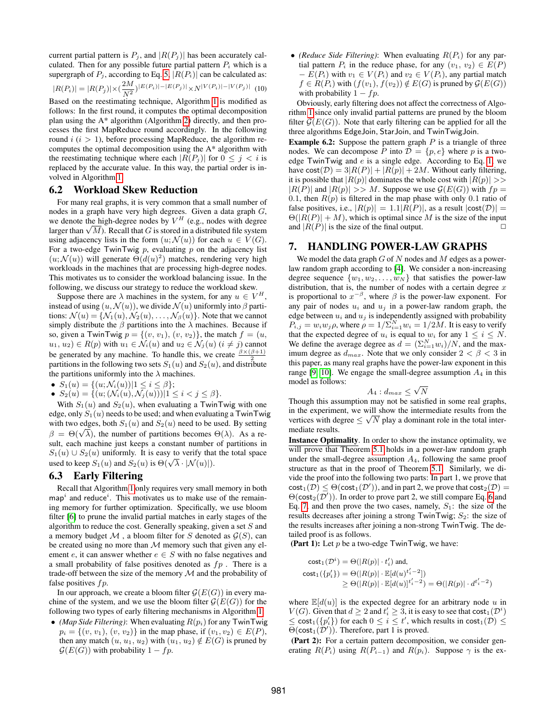current partial pattern is  $P_i$ , and  $|R(P_i)|$  has been accurately calculated. Then for any possible future partial pattern  $P_i$  which is a supergraph of  $P_j$ , according to Eq. [5,](#page-4-5)  $|R(P_i)|$  can be calculated as:

$$
|R(P_i)| = |R(P_j)| \times \left(\frac{2M}{N^2}\right)|E(P_i)| - |E(P_j)| \times N^{|V(P_i)| - |V(P_j)|} \tag{10}
$$

Based on the reestimating technique, Algorithm [1](#page-2-0) is modified as follows: In the first round, it computes the optimal decomposition plan using the A\* algorithm (Algorithm [2\)](#page-5-0) directly, and then processes the first MapReduce round accordingly. In the following round  $i$  ( $i > 1$ ), before processing MapReduce, the algorithm recomputes the optimal decomposition using the A\* algorithm with the reestimating technique where each  $|R(P_i)|$  for  $0 \leq j \leq i$  is replaced by the accurate value. In this way, the partial order is involved in Algorithm [1.](#page-2-0)

# <span id="page-7-2"></span>6.2 Workload Skew Reduction

For many real graphs, it is very common that a small number of nodes in a graph have very high degrees. Given a data graph  $G$ , we denote the high-degree nodes by  $V^H$  (e.g., nodes with degree we denote the high-degree nodes by  $V^+$  (e.g., nodes with degree larger than  $\sqrt{M}$ ). Recall that G is stored in a distributed file system using adjacency lists in the form  $(u; \mathcal{N}(u))$  for each  $u \in V(G)$ . For a two-edge TwinTwig  $p$ , evaluating  $p$  on the adjacency list  $(u; \mathcal{N}(u))$  will generate  $\Theta(d(u)^2)$  matches, rendering very high workloads in the machines that are processing high-degree nodes. This motivates us to consider the workload balancing issue. In the following, we discuss our strategy to reduce the workload skew.

Suppose there are  $\lambda$  machines in the system, for any  $u \in V^H$ , instead of using  $(u, \mathcal{N}(u))$ , we divide  $\mathcal{N}(u)$  uniformly into  $\beta$  partitions:  $\mathcal{N}(u) = \{ \mathcal{N}_1(u), \mathcal{N}_2(u), \dots, \mathcal{N}_\beta(u) \}$ . Note that we cannot simply distribute the  $\beta$  partitions into the  $\lambda$  machines. Because if so, given a TwinTwig  $p = \{(v, v_1), (v, v_2)\}\)$ , the match  $f = (u, v_1, v_2)\$  $u_1, u_2) \in R(p)$  with  $u_1 \in \mathcal{N}_i(u)$  and  $u_2 \in \mathcal{N}_j(u)$   $(i \neq j)$  cannot be generated by any machine. To handle this, we create  $\frac{\beta \times (\beta + 1)}{2}$ partitions in the following two sets  $S_1(u)$  and  $S_2(u)$ , and distribute the partitions uniformly into the  $\lambda$  machines.

- $S_1(u) = \{(u; \mathcal{N}_i(u)) | 1 \leq i \leq \beta\};$
- $S_2(u) = \{(u; (\mathcal{N}_i(u), \mathcal{N}_j(u))) | 1 \leq i < j \leq \beta\}.$

With  $S_1(u)$  and  $S_2(u)$ , when evaluating a TwinTwig with one edge, only  $S_1(u)$  needs to be used; and when evaluating a TwinTwig with two edges, both  $S_1(u)$  and  $S_2(u)$  need to be used. By setting with two edges, both  $S_1(u)$  and  $S_2(u)$  heed to be used. By setting  $\beta = \Theta(\sqrt{\lambda})$ , the number of partitions becomes  $\Theta(\lambda)$ . As a result, each machine just keeps a constant number of partitions in  $S_1(u) \cup S_2(u)$  uniformly. It is easy to verify that the total space  $S_1(u) \cup S_2(u)$  uniformly. It is easy to verify that<br>used to keep  $S_1(u)$  and  $S_2(u)$  is  $\Theta(\sqrt{\lambda} \cdot |\mathcal{N}(u)|)$ .

# <span id="page-7-1"></span>6.3 Early Filtering

Recall that Algorithm [1](#page-2-0) only requires very small memory in both  $map<sup>i</sup>$  and reduce<sup>*i*</sup>. This motivates us to make use of the remaining memory for further optimization. Specifically, we use bloom filter [\[6\]](#page-11-24) to prune the invalid partial matches in early stages of the algorithm to reduce the cost. Generally speaking, given a set  $S$  and a memory budget  $M$ , a bloom filter for S denoted as  $\mathcal{G}(S)$ , can be created using no more than  $M$  memory such that given any element e, it can answer whether  $e \in S$  with no false negatives and a small probability of false positives denoted as  $fp$ . There is a trade-off between the size of the memory  $\mathcal M$  and the probability of false positives  $fp$ .

In our approach, we create a bloom filter  $\mathcal{G}(E(G))$  in every machine of the system, and we use the bloom filter  $\mathcal{G}(E(G))$  for the following two types of early filtering mechanisms in Algorithm [1:](#page-2-0)

• *(Map Side Filtering)*: When evaluating  $R(p_i)$  for any TwinTwig  $p_i = \{(v, v_1), (v, v_2)\}\$ in the map phase, if  $(v_1, v_2) \in E(P)$ , then any match  $(u, u_1, u_2)$  with  $(u_1, u_2) \notin E(G)$  is pruned by  $\mathcal{G}(E(G))$  with probability  $1 - fp$ .

• *(Reduce Side Filtering)*: When evaluating  $R(P_i)$  for any partial pattern  $P_i$  in the reduce phase, for any  $(v_1, v_2) \in E(P)$  $- E(P_i)$  with  $v_1 \in V(P_i)$  and  $v_2 \in V(P_i)$ , any partial match  $f \in R(P_i)$  with  $(f(v_1), f(v_2)) \notin E(G)$  is pruned by  $\mathcal{G}(E(G))$ with probability  $1 - fp$ .

Obviously, early filtering does not affect the correctness of Algorithm [1](#page-2-0) since only invalid partial patterns are pruned by the bloom filter  $\mathcal{G}(E(G))$ . Note that early filtering can be applied for all the three algorithms EdgeJoin, StarJoin, and TwinTwigJoin.

**Example 6.2:** Suppose the pattern graph  $P$  is a triangle of three nodes. We can decompose P into  $\mathcal{D} = \{p, e\}$  where p is a twoedge TwinTwig and e is a single edge. According to Eq. [1,](#page-4-3) we have  $cost(\mathcal{D}) = 3|R(P)| + |R(p)| + 2M$ . Without early filtering, it is possible that  $|R(p)|$  dominates the whole cost with  $|R(p)| \gg$  $|R(P)|$  and  $|R(p)| >> M$ . Suppose we use  $\mathcal{G}(E(G))$  with  $fp =$ 0.1, then  $R(p)$  is filtered in the map phase with only 0.1 ratio of false positives, i.e.,  $|R(p)| = 1.1|R(P)|$ , as a result  $|\textsf{cost}(\mathcal{D})| =$  $\Theta(|R(P)| + M)$ , which is optimal since M is the size of the input and  $|R(P)|$  is the size of the final output.

#### <span id="page-7-0"></span>7. HANDLING POWER-LAW GRAPHS

We model the data graph  $G$  of  $N$  nodes and  $M$  edges as a powerlaw random graph according to [\[4\]](#page-11-21). We consider a non-increasing degree sequence  $\{w_1, w_2, \ldots, w_N\}$  that satisfies the power-law distribution, that is, the number of nodes with a certain degree  $x$ is proportional to  $x^{-\beta}$ , where  $\beta$  is the power-law exponent. For any pair of nodes  $u_i$  and  $u_j$  in a power-law random graph, the edge between  $u_i$  and  $u_j$  is independently assigned with probability  $P_{i,j} = w_i w_j \rho$ , where  $\rho = 1/\sum_{i=1}^{N} w_i = 1/2M$ . It is easy to verify that the expected degree of  $u_i$  is equal to  $w_i$  for any  $1 \leq i \leq N$ . We define the average degree as  $d = (\sum_{i=1}^{N} w_i)/N$ , and the maximum degree as  $d_{max}$ . Note that we only consider  $2 < \beta < 3$  in this paper, as many real graphs have the power-law exponent in this range [\[9,](#page-11-25) [10\]](#page-11-26). We engage the small-degree assumption  $A_4$  in this model as follows: √

$$
A_4: d_{max} \leq \sqrt{N}
$$

Though this assumption may not be satisfied in some real graphs, in the experiment, we will show the intermediate results from the vertices with degree  $\leq \sqrt{N}$  play a dominant role in the total intermediate results.

Instance Optimality. In order to show the instance optimality, we will prove that Theorem [5.1](#page-4-6) holds in a power-law random graph under the small-degree assumption  $A<sub>4</sub>$ , following the same proof structure as that in the proof of Theorem [5.1.](#page-4-6) Similarly, we divide the proof into the following two parts: In part 1, we prove that  $\textsf{cost}_1(\mathcal{D}) \leq \Theta(\textsf{cost}_1(\mathcal{D}'))$ , and in part 2, we prove that  $\textsf{cost}_2(\mathcal{D}) =$  $\Theta(\textsf{cost}_2(\mathcal{D}'))$ . In order to prove part 2, we still compare Eq. [6](#page-5-2) and Eq. [7,](#page-5-3) and then prove the two cases, namely,  $S_1$ : the size of the results decreases after joining a strong  $\overline{T}$ win $\overline{T}$ wig;  $S_2$ : the size of the results increases after joining a non-strong TwinTwig. The detailed proof is as follows.

(Part 1): Let  $p$  be a two-edge TwinTwig, we have:

$$
\begin{aligned}\n\text{cost}_1(\mathcal{D}^i) &= \Theta(|R(p)| \cdot t_i') \text{ and,} \\
\text{cost}_1(\{p_i'\}) &= \Theta(|R(p)| \cdot \mathbb{E}[d(u)^{t_i'-2}]) \\
&\ge \Theta(|R(p)| \cdot \mathbb{E}[d(u)]^{t_i'-2}) = \Theta(|R(p)| \cdot d^{t_i'-2})\n\end{aligned}
$$

where  $\mathbb{E}[d(u)]$  is the expected degree for an arbitrary node u in  $V(G)$ . Given that  $d \geq 2$  and  $t'_i \geq 3$ , it is easy to see that  $cost_1(\mathcal{D}^i)$  $\leq$  cost<sub>1</sub>( $\{p'_i\}$ ) for each  $0 \leq i \leq t'$ , which results in cost<sub>1</sub>( $\mathcal{D}$ )  $\leq$  $\Theta(\textsf{cost}_1(\mathcal{D}'))$ . Therefore, part 1 is proved.

(Part 2): For a certain pattern decomposition, we consider generating  $R(P_i)$  using  $R(P_{i-1})$  and  $R(p_i)$ . Suppose  $\gamma$  is the ex-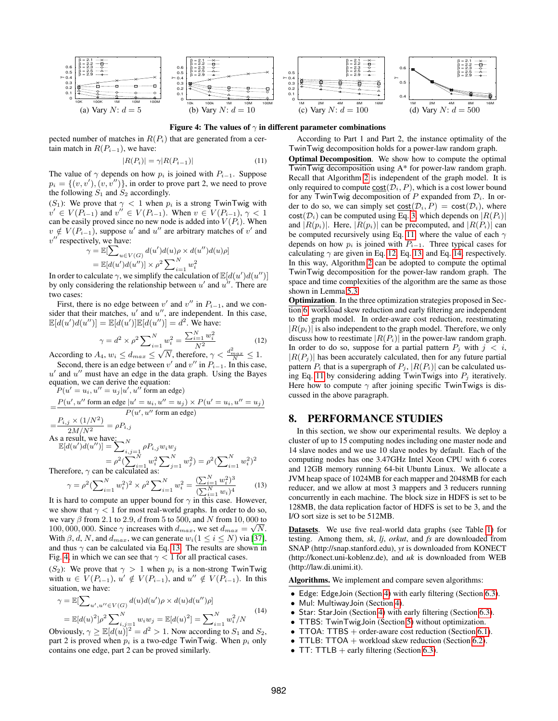

<span id="page-8-2"></span>Figure 4: The values of  $\gamma$  in different parameter combinations

pected number of matches in  $R(P_i)$  that are generated from a certain match in  $R(P_{i-1})$ , we have:

<span id="page-8-3"></span>
$$
|R(P_i)| = \gamma |R(P_{i-1})| \tag{11}
$$

The value of  $\gamma$  depends on how  $p_i$  is joined with  $P_{i-1}$ . Suppose  $p_i = \{(v, v'), (v, v'')\}$ , in order to prove part 2, we need to prove the following  $S_1$  and  $S_2$  accordingly.

(S<sub>1</sub>): We prove that  $\gamma < 1$  when  $p_i$  is a strong TwinTwig with  $v' \in V(P_{i-1})$  and  $v'' \in V(P_{i-1})$ . When  $v \in V(P_{i-1})$ ,  $\gamma < 1$ can be easily proved since no new node is added into  $V(P_i)$ . When  $v \notin V(P_{i-1})$ , suppose u' and u'' are arbitrary matches of v' and  $v''$  respectively, we have:

$$
\gamma = \mathbb{E}[\sum_{u \in V(G)} d(u')d(u)\rho \times d(u'')d(u)\rho]
$$
  
=  $\mathbb{E}[d(u')d(u'')] \times \rho^2 \sum_{i=1}^N w_i^2$ 

In order to calculate  $\gamma$ , we simplify the calculation of  $\mathbb{E}[d(u')d(u'')]$ by only considering the relationship between  $u'$  and  $u''$ . There are two cases:

First, there is no edge between  $v'$  and  $v''$  in  $P_{i-1}$ , and we consider that their matches,  $u'$  and  $u''$ , are independent. In this case,  $\mathbb{E}[d(u')d(u'')] = \mathbb{E}[d(u')] \mathbb{E}[d(u'')] = d^2$ . We have:

<span id="page-8-4"></span>
$$
\gamma = d^2 \times \rho^2 \sum_{i=1}^{N} w_i^2 = \frac{\sum_{i=1}^{N} w_i^2}{N^2}
$$
 (12)

According to  $A_4$ ,  $w_i \le d_{max} \le \sqrt{N}$ , therefore,  $\gamma < \frac{d_{max}^2}{N} \le 1$ .

Second, there is an edge between  $v'$  and  $v''$  in  $P_{i-1}$ . In this case,  $u'$  and  $u''$  must have an edge in the data graph. Using the Bayes equation, we can derive the equation:  $P(u' = u_i, u'' = u_j | u', u''$  form an edge)

$$
= \frac{P(u', u'' \text{ form an edge } |u' = u_i, u'' = u_j) \times P(u' = u_i, u'' = u_j)}{P(u', u'' \text{ form an edge})}
$$
  
= 
$$
\frac{P_{i,j} \times (1/N^2)}{2M/N^2} = \rho P_{i,j}
$$
  
As a result, we have:  

$$
\mathbb{E}[d(u')d(u'')] = \sum_{i,j=1}^N \rho P_{i,j}w_iw_j
$$

 $=\rho^2(\sum_{i=1}^N w_i^2\sum_{j=1}^N w_j^2)=\rho^2(\sum_{i=1}^N w_i^2)^2$ Therefore,  $\gamma$  can be calculated

<span id="page-8-1"></span>
$$
\gamma = \rho^2 (\sum_{i=1}^N w_i^2)^2 \times \rho^2 \sum_{i=1}^N w_i^2 = \frac{(\sum_{i=1}^N w_i^2)^3}{(\sum_{i=1}^N w_i)^4}
$$
(13)

It is hard to compute an upper bound for  $\gamma$  in this case. However, we show that  $\gamma < 1$  for most real-world graphs. In order to do so, we vary  $\beta$  from 2.1 to 2.9, d from 5 to 500, and N from 10, 000 to 100, 000, 000. Since  $\gamma$  increases with  $d_{max}$ , we set  $d_{max} = \sqrt{N}$ . With  $\beta$ , d, N, and  $d_{max}$ , we can generate  $w_i$  ( $1 \le i \le N$ ) via [\[37\]](#page-11-27), and thus  $\gamma$  can be calculated via Eq. [13.](#page-8-1) The results are shown in Fig. [4,](#page-8-2) in which we can see that  $\gamma$  < 1 for all practical cases.

(S<sub>2</sub>): We prove that  $\gamma > 1$  when  $p_i$  is a non-strong TwinTwig with  $u \in V(P_{i-1}), u' \notin V(P_{i-1}),$  and  $u'' \notin V(P_{i-1}).$  In this situation, we have:

<span id="page-8-5"></span>
$$
\gamma = \mathbb{E}[\sum_{u',u'' \in V(G)} d(u)d(u')\rho \times d(u)d(u'')\rho]
$$
  
=  $\mathbb{E}[d(u)^2]\rho^2 \sum_{i,j=1}^N w_i w_j = \mathbb{E}[d(u)^2] = \sum_{i=1}^N w_i^2/N$  (14)

Obviously,  $\gamma \geq \mathbb{E}[d(u)]^2 = d^2 > 1$ . Now according to  $S_1$  and  $S_2$ , part 2 is proved when  $p_i$  is a two-edge TwinTwig. When  $p_i$  only contains one edge, part 2 can be proved similarly.

According to Part 1 and Part 2, the instance optimality of the TwinTwig decomposition holds for a power-law random graph.

Optimal Decomposition. We show how to compute the optimal TwinTwig decomposition using A\* for power-law random graph. Recall that Algorithm [2](#page-5-0) is independent of the graph model. It is only required to compute  $cost(\mathcal{D}_i, P)$ , which is a cost lower bound for any TwinTwig decomposition of P expanded from  $\mathcal{D}_i$ . In order to do so, we can simply set  $\text{cost}(\mathcal{D}_i, P) = \text{cost}(\mathcal{D}_i)$ , where  $cost(\mathcal{D}_i)$  can be computed using Eq. [3,](#page-4-7) which depends on  $|R(P_i)|$ and  $|R(p_i)|$ . Here,  $|R(p_i)|$  can be precomputed, and  $|R(P_i)|$  can be computed recursively using Eq. [11,](#page-8-3) where the value of each  $\gamma$ depends on how  $p_i$  is joined with  $P_{i-1}$ . Three typical cases for calculating  $\gamma$  are given in Eq. [12,](#page-8-4) Eq. [13,](#page-8-1) and Eq. [14,](#page-8-5) respectively. In this way, Algorithm [2](#page-5-0) can be adopted to compute the optimal TwinTwig decomposition for the power-law random graph. The space and time complexities of the algorithm are the same as those shown in Lemma [5.3.](#page-5-4)

Optimization. In the three optimization strategies proposed in Section [6,](#page-6-0) workload skew reduction and early filtering are independent to the graph model. In order-aware cost reduction, reestimating  $|R(p_i)|$  is also independent to the graph model. Therefore, we only discuss how to reestimate  $|R(P_i)|$  in the power-law random graph. In order to do so, suppose for a partial pattern  $P_i$  with  $j < i$ ,  $|R(P_i)|$  has been accurately calculated, then for any future partial pattern  $P_i$  that is a supergraph of  $P_i$ ,  $|R(P_i)|$  can be calculated us-ing Eq. [11](#page-8-3) by considering adding TwinTwigs into  $P_j$  iteratively. Here how to compute  $\gamma$  after joining specific TwinTwigs is discussed in the above paragraph.

# <span id="page-8-0"></span>8. PERFORMANCE STUDIES

In this section, we show our experimental results. We deploy a cluster of up to 15 computing nodes including one master node and 14 slave nodes and we use 10 slave nodes by default. Each of the computing nodes has one 3.47GHz Intel Xeon CPU with 6 cores and 12GB memory running 64-bit Ubuntu Linux. We allocate a JVM heap space of 1024MB for each mapper and 2048MB for each reducer, and we allow at most 3 mappers and 3 reducers running concurrently in each machine. The block size in HDFS is set to be 128MB, the data replication factor of HDFS is set to be 3, and the I/O sort size is set to be 512MB.

Datasets. We use five real-world data graphs (see Table [1\)](#page-9-0) for testing. Among them, *sk*, *lj*, *orkut*, and *fs* are downloaded from SNAP (http://snap.stanford.edu), *yt* is downloaded from KONECT (http://konect.uni-koblenz.de), and *uk* is downloaded from WEB (http://law.di.unimi.it).

Algorithms. We implement and compare seven algorithms:

- Edge: EdgeJoin (Section [4\)](#page-2-3) with early filtering (Section [6.3\)](#page-7-1).
- Mul: MultiwayJoin (Section [4\)](#page-2-3).
- Star: StarJoin (Section [4\)](#page-2-3) with early filtering (Section [6.3\)](#page-7-1).
- TTBS: TwinTwigJoin (Section [5\)](#page-3-0) without optimization.
- TTOA: TTBS  $+$  order-aware cost reduction (Section [6.1\)](#page-6-2).
- TTLB: TTOA  $+$  workload skew reduction (Section [6.2\)](#page-7-2).
- TT: TTLB  $+$  early filtering (Section [6.3\)](#page-7-1).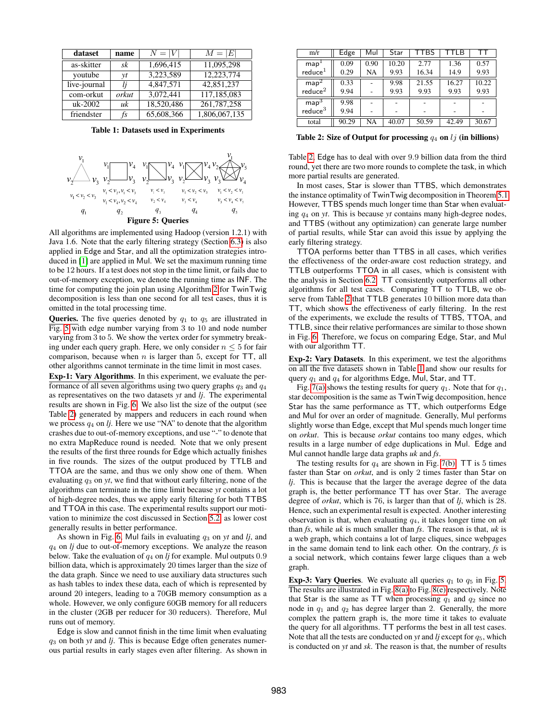| dataset      | name  | $N =  V $  | $M =  E $     |
|--------------|-------|------------|---------------|
| as-skitter   | sk    | 1,696,415  | 11,095,298    |
| youtube      | yt    | 3,223,589  | 12,223,774    |
| live-journal |       | 4.847.571  | 42,851,237    |
| com-orkut    | orkut | 3,072,441  | 117,185,083   |
| $uk-2002$    | uk    | 18,520,486 | 261,787,258   |
| friendster   | fs    | 65,608,366 | 1,806,067,135 |

<span id="page-9-1"></span><span id="page-9-0"></span>Table 1: Datasets used in Experiments



All algorithms are implemented using Hadoop (version 1.2.1) with Java 1.6. Note that the early filtering strategy (Section [6.3\)](#page-7-1) is also applied in Edge and Star, and all the optimization strategies introduced in [\[1\]](#page-11-16) are applied in Mul. We set the maximum running time to be 12 hours. If a test does not stop in the time limit, or fails due to out-of-memory exception, we denote the running time as INF. The time for computing the join plan using Algorithm [2](#page-5-0) for TwinTwig decomposition is less than one second for all test cases, thus it is omitted in the total processing time.

**Queries.** The five queries denoted by  $q_1$  to  $q_5$  are illustrated in Fig. [5](#page-9-1) with edge number varying from 3 to 10 and node number varying from 3 to 5. We show the vertex order for symmetry breaking under each query graph. Here, we only consider  $n \leq 5$  for fair comparison, because when  $n$  is larger than 5, except for  $TT$ , all other algorithms cannot terminate in the time limit in most cases.

Exp-1: Vary Algorithms. In this experiment, we evaluate the performance of all seven algorithms using two query graphs  $q_3$  and  $q_4$ as representatives on the two datasets *yt* and *lj*. The experimental results are shown in Fig. [6.](#page-10-0) We also list the size of the output (see Table [2\)](#page-9-2) generated by mappers and reducers in each round when we process q<sup>4</sup> on *lj*. Here we use "NA" to denote that the algorithm crashes due to out-of-memory exceptions, and use "-" to denote that no extra MapReduce round is needed. Note that we only present the results of the first three rounds for Edge which actually finishes in five rounds. The sizes of the output produced by TTLB and TTOA are the same, and thus we only show one of them. When evaluating q<sup>3</sup> on *yt*, we find that without early filtering, none of the algorithms can terminate in the time limit because *yt* contains a lot of high-degree nodes, thus we apply early filtering for both TTBS and TTOA in this case. The experimental results support our motivation to minimize the cost discussed in Section [5.2,](#page-3-1) as lower cost generally results in better performance.

As shown in Fig. [6,](#page-10-0) Mul fails in evaluating q<sup>3</sup> on *yt* and *lj*, and q<sup>4</sup> on *lj* due to out-of-memory exceptions. We analyze the reason below. Take the evaluation of q<sup>4</sup> on *lj* for example. Mul outputs 0.9 billion data, which is approximately 20 times larger than the size of the data graph. Since we need to use auxiliary data structures such as hash tables to index these data, each of which is represented by around 20 integers, leading to a 70GB memory consumption as a whole. However, we only configure 60GB memory for all reducers in the cluster (2GB per reducer for 30 reducers). Therefore, Mul runs out of memory.

Edge is slow and cannot finish in the time limit when evaluating q<sup>3</sup> on both *yt* and *lj*. This is because Edge often generates numerous partial results in early stages even after filtering. As shown in

| m/r                 | Edge  | Mul  | Star  | TTBS  | TLB   |       |
|---------------------|-------|------|-------|-------|-------|-------|
| map                 | 0.09  | 0.90 | 10.20 | 2.77  | 1.36  | 0.57  |
| reduce <sup>1</sup> | 0.29  | NA   | 9.93  | 16.34 | 14.9  | 9.93  |
| $ma\overline{p}^2$  | 0.33  |      | 9.98  | 21.55 | 16.27 | 10.22 |
| reduce <sup>2</sup> | 9.94  |      | 9.93  | 9.93  | 9.93  | 9.93  |
| map <sup>3</sup>    | 9.98  |      |       |       |       |       |
| reduce <sup>3</sup> | 9.94  |      |       |       |       |       |
| total               | 90.29 | NA   | 40.07 | 50.59 | 42.49 | 30.67 |

<span id="page-9-2"></span>Table 2: Size of Output for processing  $q_4$  on  $l_j$  (in billions)

Table [2,](#page-9-2) Edge has to deal with over 9.9 billion data from the third round, yet there are two more rounds to complete the task, in which more partial results are generated.

In most cases, Star is slower than TTBS, which demonstrates the instance optimality of TwinTwig decomposition in Theorem [5.1.](#page-4-6) However, TTBS spends much longer time than Star when evaluating q<sup>4</sup> on *yt*. This is because *yt* contains many high-degree nodes, and TTBS (without any optimization) can generate large number of partial results, while Star can avoid this issue by applying the early filtering strategy.

TTOA performs better than TTBS in all cases, which verifies the effectiveness of the order-aware cost reduction strategy, and TTLB outperforms TTOA in all cases, which is consistent with the analysis in Section [6.2.](#page-7-2) TT consistently outperforms all other algorithms for all test cases. Comparing TT to TTLB, we observe from Table [2](#page-9-2) that TTLB generates 10 billion more data than TT, which shows the effectiveness of early filtering. In the rest of the experiments, we exclude the results of TTBS, TTOA, and TTLB, since their relative performances are similar to those shown in Fig. [6.](#page-10-0) Therefore, we focus on comparing Edge, Star, and Mul with our algorithm TT.

Exp-2: Vary Datasets. In this experiment, we test the algorithms on all the five datasets shown in Table [1](#page-9-0) and show our results for query  $q_1$  and  $q_4$  for algorithms Edge, Mul, Star, and TT.

Fig. [7\(a\)](#page-10-1) shows the testing results for query  $q_1$ . Note that for  $q_1$ , star decomposition is the same as TwinTwig decomposition, hence Star has the same performance as TT, which outperforms Edge and Mul for over an order of magnitude. Generally, Mul performs slightly worse than Edge, except that Mul spends much longer time on *orkut*. This is because *orkut* contains too many edges, which results in a large number of edge duplications in Mul. Edge and Mul cannot handle large data graphs *uk* and *fs*.

The testing results for  $q_4$  are shown in Fig. [7\(b\).](#page-10-2) TT is 5 times faster than Star on *orkut*, and is only 2 times faster than Star on *lj*. This is because that the larger the average degree of the data graph is, the better performance TT has over Star. The average degree of *orkut*, which is 76, is larger than that of *lj*, which is 28. Hence, such an experimental result is expected. Another interesting observation is that, when evaluating q4, it takes longer time on *uk* than *fs*, while *uk* is much smaller than *fs*. The reason is that, *uk* is a web graph, which contains a lot of large cliques, since webpages in the same domain tend to link each other. On the contrary, *fs* is a social network, which contains fewer large cliques than a web graph.

**Exp-3: Vary Queries.** We evaluate all queries  $q_1$  to  $q_5$  in Fig. [5.](#page-9-1) The results are illustrated in Fig. [8\(a\)](#page-10-3) to Fig. [8\(e\)](#page-10-4) respectively. Note that Star is the same as TT when processing  $q_1$  and  $q_2$  since no node in  $q_1$  and  $q_2$  has degree larger than 2. Generally, the more complex the pattern graph is, the more time it takes to evaluate the query for all algorithms. TT performs the best in all test cases. Note that all the tests are conducted on  $yt$  and  $lj$  except for  $q_5$ , which is conducted on *yt* and *sk*. The reason is that, the number of results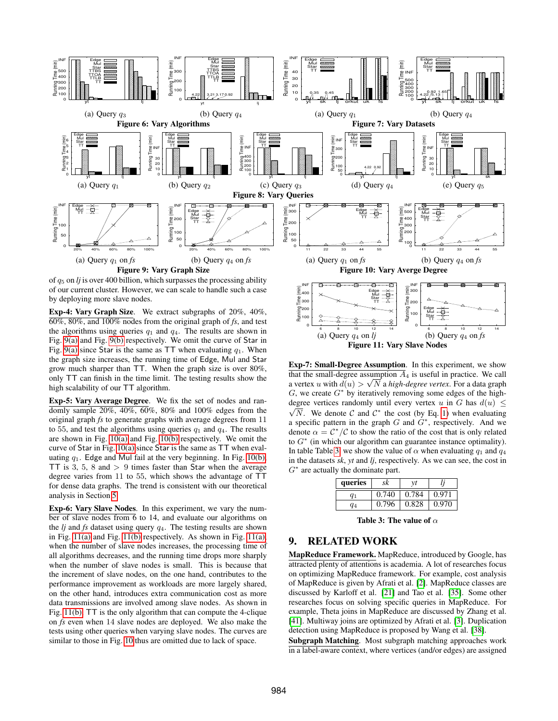<span id="page-10-1"></span><span id="page-10-0"></span>

<span id="page-10-9"></span><span id="page-10-7"></span>。L 100 200

6 8 10 12 14

(a) Query  $q_4$  on  $l$ *j* 

<span id="page-10-6"></span><span id="page-10-5"></span><span id="page-10-3"></span>Exp-4: Vary Graph Size. We extract subgraphs of 20%, 40%, 60%, 80%, and 100% nodes from the original graph of *fs*, and test the algorithms using queries  $q_1$  and  $q_4$ . The results are shown in Fig. [9\(a\)](#page-10-5) and Fig. [9\(b\)](#page-10-6) respectively. We omit the curve of Star in Fig. [9\(a\)](#page-10-5) since Star is the same as TT when evaluating  $q_1$ . When the graph size increases, the running time of Edge, Mul and Star grow much sharper than TT. When the graph size is over 80%, only TT can finish in the time limit. The testing results show the high scalability of our TT algorithm.

Exp-5: Vary Average Degree. We fix the set of nodes and randomly sample 20%, 40%, 60%, 80% and 100% edges from the original graph *fs* to generate graphs with average degrees from 11 to 55, and test the algorithms using queries  $q_1$  and  $q_4$ . The results are shown in Fig. [10\(a\)](#page-10-7) and Fig. [10\(b\)](#page-10-8) respectively. We omit the curve of Star in Fig. [10\(a\)](#page-10-7) since Star is the same as TT when evaluating  $q_1$ . Edge and Mul fail at the very beginning. In Fig. [10\(b\),](#page-10-8) TT is 3, 5, 8 and  $> 9$  times faster than Star when the average degree varies from 11 to 55, which shows the advantage of TT for dense data graphs. The trend is consistent with our theoretical analysis in Section [5.](#page-3-0)

Exp-6: Vary Slave Nodes. In this experiment, we vary the number of slave nodes from 6 to 14, and evaluate our algorithms on the  $lj$  and  $fs$  dataset using query  $q_4$ . The testing results are shown in Fig. [11\(a\)](#page-10-9) and Fig. [11\(b\)](#page-10-10) respectively. As shown in Fig. [11\(a\),](#page-10-9) when the number of slave nodes increases, the processing time of all algorithms decreases, and the running time drops more sharply when the number of slave nodes is small. This is because that the increment of slave nodes, on the one hand, contributes to the performance improvement as workloads are more largely shared, on the other hand, introduces extra communication cost as more data transmissions are involved among slave nodes. As shown in Fig. [11\(b\),](#page-10-10) TT is the only algorithm that can compute the 4-clique on *fs* even when 14 slave nodes are deployed. We also make the tests using other queries when varying slave nodes. The curves are similar to those in Fig. [10](#page-10-11) thus are omitted due to lack of space.

Exp-7: Small-Degree Assumption. In this experiment, we show that the small-degree assumption  $\overline{A}_4$  is useful in practice. We call a vertex  $u$  with  $d(u) > \sqrt{N}$  a *high-degree vertex*. For a data graph  $G$ , we create  $G^*$  by iteratively removing some edges of the highdegree vertices randomly until every vertex u in G has  $d(u) \leq$  $\overline{N}$ . We denote C and  $\mathcal{C}^*$  the cost (by Eq. [1\)](#page-4-3) when evaluating a specific pattern in the graph  $G$  and  $G^*$ , respectively. And we denote  $\alpha = \mathcal{C}^*/\mathcal{C}$  to show the ratio of the cost that is only related to  $G^*$  (in which our algorithm can guarantee instance optimality). In table Table [3,](#page-10-12) we show the value of  $\alpha$  when evaluating  $q_1$  and  $q_4$ in the datasets *sk*, *yt* and *lj*, respectively. As we can see, the cost in  $G^*$  are actually the dominate part.

Figure 11: Vary Slave Nodes

<span id="page-10-11"></span><span id="page-10-10"></span><span id="page-10-8"></span>。 100

<span id="page-10-4"></span><span id="page-10-2"></span>Mul Star ·  $\overline{\mathsf{TT}}$   $-$ 

6 8 10 12 14

(b) Query  $q_4$  on  $fs$ 

| queries | sk    | νı    |       |
|---------|-------|-------|-------|
| $q_1$   | 0.740 | 0.784 | 0.971 |
| aл      | 0.796 | 0.828 | 0.970 |

<span id="page-10-12"></span>Table 3: The value of  $\alpha$ 

# 9. RELATED WORK

MapReduce Framework. MapReduce, introduced by Google, has attracted plenty of attentions is academia. A lot of researches focus on optimizing MapReduce framework. For example, cost analysis of MapReduce is given by Afrati et al. [\[2\]](#page-11-28). MapReduce classes are discussed by Karloff et al. [\[21\]](#page-11-29) and Tao et al. [\[35\]](#page-11-30). Some other researches focus on solving specific queries in MapReduce. For example, Theta joins in MapReduce are discussed by Zhang et al. [\[41\]](#page-11-31). Multiway joins are optimized by Afrati et al. [\[3\]](#page-11-32). Duplication detection using MapReduce is proposed by Wang et al. [\[38\]](#page-11-33).

Subgraph Matching. Most subgraph matching approaches work in a label-aware context, where vertices (and/or edges) are assigned